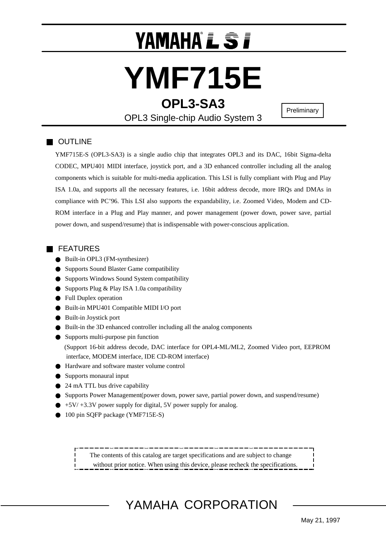## YAMAHA L S F

# **YMF715E**

**OPL3-SA3**

**Preliminary** 

OPL3 Single-chip Audio System 3

## OUTLINE

YMF715E-S (OPL3-SA3) is a single audio chip that integrates OPL3 and its DAC, 16bit Sigma-delta CODEC, MPU401 MIDI interface, joystick port, and a 3D enhanced controller including all the analog components which is suitable for multi-media application. This LSI is fully compliant with Plug and Play ISA 1.0a, and supports all the necessary features, i.e. 16bit address decode, more IRQs and DMAs in compliance with PC'96. This LSI also supports the expandability, i.e. Zoomed Video, Modem and CD-ROM interface in a Plug and Play manner, and power management (power down, power save, partial power down, and suspend/resume) that is indispensable with power-conscious application.

### FEATURES

 Built-in OPL3 (FM-synthesizer) Supports Sound Blaster Game compatibility Supports Windows Sound System compatibility Supports Plug & Play ISA 1.0a compatibility Full Duplex operation Built-in MPU401 Compatible MIDI I/O port Built-in Joystick port Built-in the 3D enhanced controller including all the analog components Supports multi-purpose pin function (Support 16-bit address decode, DAC interface for OPL4-ML/ML2, Zoomed Video port, EEPROM interface, MODEM interface, IDE CD-ROM interface) Hardware and software master volume control Supports monaural input 24 mA TTL bus drive capability Supports Power Management(power down, power save, partial power down, and suspend/resume) +5V/ +3.3V power supply for digital, 5V power supply for analog. 100 pin SQFP package (YMF715E-S)

 The contents of this catalog are target specifications and are subject to change without prior notice. When using this device, please recheck the specifications.

YAMAHA CORPORATION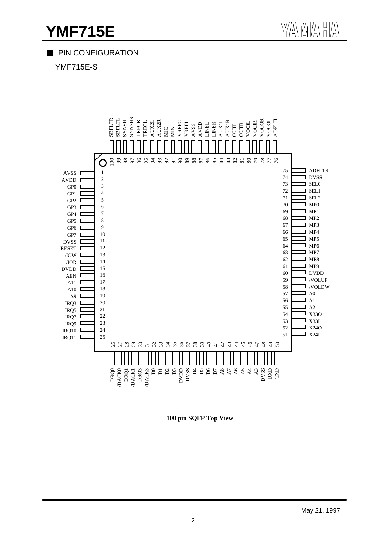## **YMF715E** WANATHA

## PIN CONFIGURATION

YMF715E-S

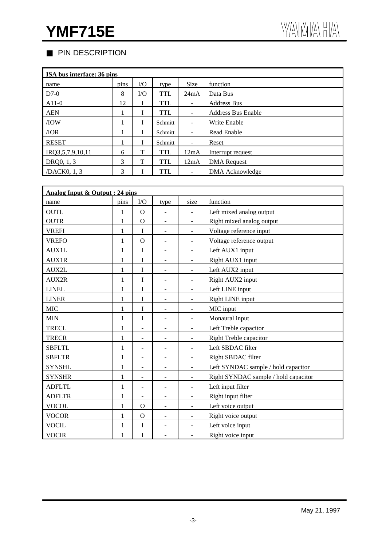## PIN DESCRIPTION

| ISA bus interface: 36 pins |      |          |            |             |                           |  |  |  |  |
|----------------------------|------|----------|------------|-------------|---------------------------|--|--|--|--|
| name                       | pins | $\rm LO$ | type       | <b>Size</b> | function                  |  |  |  |  |
| $D7-0$                     | 8    | I/O      | <b>TTL</b> | 24mA        | Data Bus                  |  |  |  |  |
| $A11-0$                    | 12   |          | <b>TTL</b> | ۰           | <b>Address Bus</b>        |  |  |  |  |
| <b>AEN</b>                 |      |          | <b>TTL</b> | ۰           | <b>Address Bus Enable</b> |  |  |  |  |
| /IOW                       |      | I        | Schmitt    | -           | Write Enable              |  |  |  |  |
| /IOR                       |      | I        | Schmitt    | ÷           | <b>Read Enable</b>        |  |  |  |  |
| <b>RESET</b>               |      |          | Schmitt    | ۰           | Reset                     |  |  |  |  |
| IRQ3,5,7,9,10,11           | 6    | T        | <b>TTL</b> | 12mA        | Interrupt request         |  |  |  |  |
| DRQ0, 1, 3                 | 3    | T        | <b>TTL</b> | 12mA        | <b>DMA</b> Request        |  |  |  |  |
| /DACK0, 1, 3               | 3    |          | <b>TTL</b> |             | DMA Acknowledge           |  |  |  |  |

| Analog Input & Output : 24 pins |              |                          |                              |                              |                                      |  |  |
|---------------------------------|--------------|--------------------------|------------------------------|------------------------------|--------------------------------------|--|--|
| name                            | pins         | $\rm I/O$                | type                         | size                         | function                             |  |  |
| <b>OUTL</b>                     |              | $\mathbf{O}$             | $\overline{\phantom{a}}$     | $\blacksquare$               | Left mixed analog output             |  |  |
| <b>OUTR</b>                     | 1            | $\Omega$                 | $\overline{\phantom{a}}$     | $\blacksquare$               | Right mixed analog output            |  |  |
| <b>VREFI</b>                    | 1            | $\mathbf I$              | $\overline{\phantom{a}}$     | $\overline{\phantom{a}}$     | Voltage reference input              |  |  |
| <b>VREFO</b>                    | 1            | $\Omega$                 | $\overline{\phantom{0}}$     | $\qquad \qquad \blacksquare$ | Voltage reference output             |  |  |
| <b>AUX1L</b>                    | 1            | I                        | $\overline{a}$               | $\overline{\phantom{a}}$     | Left AUX1 input                      |  |  |
| <b>AUX1R</b>                    | 1            | I                        | $\overline{\phantom{a}}$     | $\blacksquare$               | Right AUX1 input                     |  |  |
| AUX2L                           | 1            | I                        | $\overline{\phantom{a}}$     | $\blacksquare$               | Left AUX2 input                      |  |  |
| AUX2R                           | 1            | I                        | $\overline{\phantom{0}}$     | $\blacksquare$               | Right AUX2 input                     |  |  |
| <b>LINEL</b>                    | $\mathbf{1}$ | I                        | $\overline{\phantom{0}}$     | $\qquad \qquad \blacksquare$ | Left LINE input                      |  |  |
| <b>LINER</b>                    | $\mathbf{1}$ | $\mathbf I$              | $\overline{\phantom{a}}$     | $\overline{\phantom{a}}$     | Right LINE input                     |  |  |
| <b>MIC</b>                      | $\mathbf{1}$ | I                        | $\overline{\phantom{a}}$     | $\blacksquare$               | MIC input                            |  |  |
| <b>MIN</b>                      | $\mathbf{1}$ | $\mathbf I$              | $\overline{\phantom{a}}$     | $\overline{\phantom{a}}$     | Monaural input                       |  |  |
| <b>TRECL</b>                    | 1            |                          | $\overline{a}$               | $\overline{a}$               | Left Treble capacitor                |  |  |
| <b>TRECR</b>                    | 1            | $\blacksquare$           | $\overline{\phantom{a}}$     | $\overline{\phantom{a}}$     | Right Treble capacitor               |  |  |
| <b>SBFLTL</b>                   | 1            | $\blacksquare$           | $\overline{\phantom{a}}$     | $\blacksquare$               | Left SBDAC filter                    |  |  |
| <b>SBFLTR</b>                   | 1            | $\overline{\phantom{a}}$ | ۰                            | $\overline{\phantom{a}}$     | Right SBDAC filter                   |  |  |
| <b>SYNSHL</b>                   | 1            | $\overline{\phantom{a}}$ | $\overline{\phantom{0}}$     | $\Box$                       | Left SYNDAC sample / hold capacitor  |  |  |
| <b>SYNSHR</b>                   | $\mathbf{1}$ | $\blacksquare$           | $\overline{\phantom{a}}$     | $\overline{\phantom{a}}$     | Right SYNDAC sample / hold capacitor |  |  |
| <b>ADFLTL</b>                   | 1            | $\blacksquare$           | $\overline{\phantom{a}}$     | $\overline{\phantom{a}}$     | Left input filter                    |  |  |
| <b>ADFLTR</b>                   | $\mathbf{1}$ | $\blacksquare$           | $\overline{\phantom{m}}$     | $\overline{\phantom{a}}$     | Right input filter                   |  |  |
| <b>VOCOL</b>                    | $\mathbf 1$  | $\Omega$                 | $\qquad \qquad \blacksquare$ | $\overline{\phantom{a}}$     | Left voice output                    |  |  |
| <b>VOCOR</b>                    | 1            | $\Omega$                 | $\overline{\phantom{a}}$     | $\overline{\phantom{a}}$     | Right voice output                   |  |  |
| <b>VOCIL</b>                    | 1            | I                        | $\overline{\phantom{a}}$     | $\overline{\phantom{a}}$     | Left voice input                     |  |  |
| <b>VOCIR</b>                    | 1            | I                        | $\overline{\phantom{a}}$     | $\overline{\phantom{a}}$     | Right voice input                    |  |  |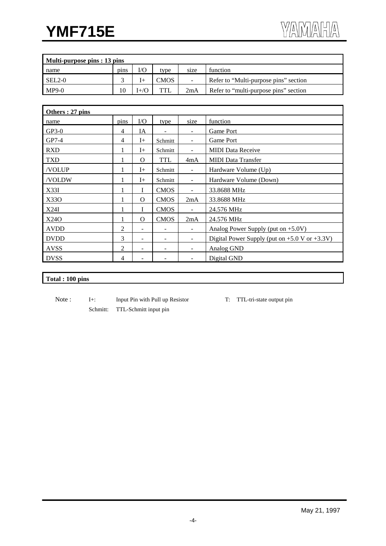| Multi-purpose pins : 13 pins |      |         |            |        |                                       |  |
|------------------------------|------|---------|------------|--------|---------------------------------------|--|
| name                         | pins | I/O     | type       | size   | function                              |  |
| $SEL2-0$                     |      |         | CMOS       | $\sim$ | Refer to "Multi-purpose pins" section |  |
| $MP9-0$                      | 10   | $(+/C)$ | <b>TTL</b> | 2mA    | Refer to "multi-purpose pins" section |  |

| Others: 27 pins |      |                          |             |                          |                                                    |
|-----------------|------|--------------------------|-------------|--------------------------|----------------------------------------------------|
| name            | pins | $\rm I/O$                | type        | size                     | function                                           |
| $GP3-0$         | 4    | IA                       |             |                          | Game Port                                          |
| $GP7-4$         | 4    | $I+$                     | Schmitt     | $\sim$                   | Game Port                                          |
| <b>RXD</b>      |      | $I+$                     | Schmitt     | ۰                        | <b>MIDI</b> Data Receive                           |
| <b>TXD</b>      |      | $\Omega$                 | <b>TTL</b>  | 4mA                      | <b>MIDI</b> Data Transfer                          |
| /VOLUP          | 1    | $I+$                     | Schmitt     | $\blacksquare$           | Hardware Volume (Up)                               |
| /VOLDW          |      | $I+$                     | Schmitt     | $\blacksquare$           | Hardware Volume (Down)                             |
| X33I            |      |                          | <b>CMOS</b> | $\blacksquare$           | 33.8688 MHz                                        |
| X330            |      | $\Omega$                 | <b>CMOS</b> | 2mA                      | 33.8688 MHz                                        |
| X24I            |      |                          | <b>CMOS</b> | $\blacksquare$           | 24.576 MHz                                         |
| X240            |      | $\Omega$                 | <b>CMOS</b> | 2mA                      | 24.576 MHz                                         |
| <b>AVDD</b>     | 2    |                          |             |                          | Analog Power Supply (put on $+5.0V$ )              |
| <b>DVDD</b>     | 3    | ۰                        |             | $\blacksquare$           | Digital Power Supply (put on $+5.0$ V or $+3.3V$ ) |
| <b>AVSS</b>     | 2    | $\overline{\phantom{a}}$ | -           | $\overline{\phantom{a}}$ | Analog GND                                         |
| <b>DVSS</b>     | 4    |                          |             |                          | Digital GND                                        |

#### **Total : 100 pins**

- Note : I+: Input Pin with Pull up Resistor T: TTL-tri-state output pin Schmitt: TTL-Schmitt input pin
	-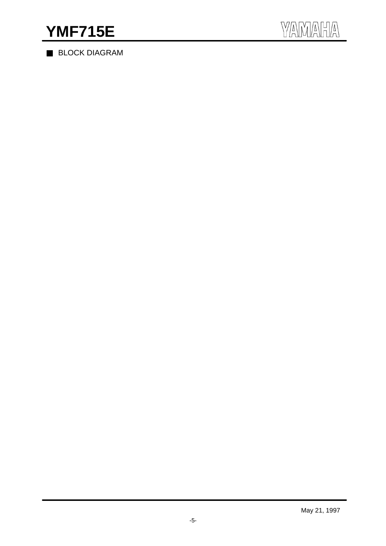BLOCK DIAGRAM

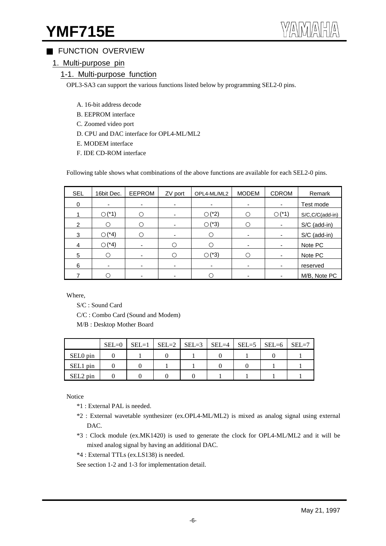## **YMF715E**

## FUNCTION OVERVIEW

1. Multi-purpose pin

### 1-1. Multi-purpose function

OPL3-SA3 can support the various functions listed below by programming SEL2-0 pins.

- A. 16-bit address decode
- B. EEPROM interface
- C. Zoomed video port
- D. CPU and DAC interface for OPL4-ML/ML2
- E. MODEM interface
- F. IDE CD-ROM interface

Following table shows what combinations of the above functions are available for each SEL2-0 pins.

| <b>SEL</b>     | 16bit Dec. | <b>EEPROM</b>            | ZV port | OPL4-ML/ML2 | <b>MODEM</b> | <b>CDROM</b>             | Remark              |
|----------------|------------|--------------------------|---------|-------------|--------------|--------------------------|---------------------|
| 0              |            | ٠                        |         |             | ٠            | $\overline{\phantom{a}}$ | Test mode           |
|                | $(*1)$     |                          |         | $(*2)$      |              | $(*1)$                   | $S/C, C/C$ (add-in) |
| $\overline{2}$ |            |                          |         | $(*3)$      |              | ۰                        | S/C (add-in)        |
| 3              | $(*4)$     |                          |         |             |              | ۰                        | S/C (add-in)        |
| 4              | $(*4)$     | $\overline{\phantom{0}}$ |         |             | ۰            | $\overline{\phantom{a}}$ | Note PC             |
| 5              |            |                          |         | $(*3)$      |              | $\overline{\phantom{a}}$ | Note PC             |
| 6              |            |                          |         |             | -            | $\overline{\phantom{a}}$ | reserved            |
|                |            |                          |         |             |              | $\overline{\phantom{a}}$ | M/B, Note PC        |

Where,

S/C : Sound Card

C/C : Combo Card (Sound and Modem)

M/B : Desktop Mother Board

|          | $SEL=0$ | $SEL=1$   $SEL=2$   $SEL=3$   $SEL=4$   $SEL=5$   $SEL=6$ |  |  | $SEL=7$ |
|----------|---------|-----------------------------------------------------------|--|--|---------|
| SEL0 pin |         |                                                           |  |  |         |
| SEL1 pin |         |                                                           |  |  |         |
| SEL2 pin |         |                                                           |  |  |         |

Notice

- \*1 : External PAL is needed.
- \*2 : External wavetable synthesizer (ex.OPL4-ML/ML2) is mixed as analog signal using external DAC.
- \*3 : Clock module (ex.MK1420) is used to generate the clock for OPL4-ML/ML2 and it will be mixed analog signal by having an additional DAC.
- \*4 : External TTLs (ex.LS138) is needed.
- See section 1-2 and 1-3 for implementation detail.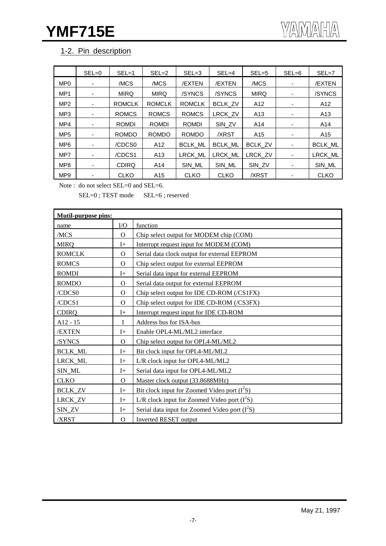## 1-2. Pin description

|                 | $SEL = 0$ | $SEL = 1$     | $SEL = 2$       | $SEL = 3$      | $SEL = 4$      | $SEL = 5$       | $SEL = 6$                | $SEL = 7$       |
|-----------------|-----------|---------------|-----------------|----------------|----------------|-----------------|--------------------------|-----------------|
| MP <sub>0</sub> | ۰         | /MCS          | /MCS            | /EXTEN         | /EXTEN         | /MCS            |                          | /EXTEN          |
| MP <sub>1</sub> | ۰         | <b>MIRQ</b>   | <b>MIRQ</b>     | /SYNCS         | /SYNCS         | <b>MIRQ</b>     |                          | /SYNCS          |
| MP <sub>2</sub> | ۰         | <b>ROMCLK</b> | <b>ROMCLK</b>   | <b>ROMCLK</b>  | <b>BCLK ZV</b> | A <sub>12</sub> |                          | A12             |
| MP <sub>3</sub> | ٠         | <b>ROMCS</b>  | <b>ROMCS</b>    | <b>ROMCS</b>   | LRCK_ZV        | A <sub>13</sub> | ۰                        | A <sub>13</sub> |
| MP4             | ۰         | <b>ROMDI</b>  | <b>ROMDI</b>    | <b>ROMDI</b>   | SIN ZV         | A14             |                          | A14             |
| MP <sub>5</sub> | ۰         | <b>ROMDO</b>  | <b>ROMDO</b>    | <b>ROMDO</b>   | /XRST          | A <sub>15</sub> |                          | A <sub>15</sub> |
| MP <sub>6</sub> | ۰         | /CDCS0        | A12             | <b>BCLK ML</b> | <b>BCLK ML</b> | BCLK ZV         | $\overline{\phantom{a}}$ | <b>BCLK ML</b>  |
| MP7             | ۰         | /CDCS1        | A <sub>13</sub> | <b>LRCK ML</b> | LRCK ML        | LRCK ZV         |                          | <b>LRCK ML</b>  |
| MP8             | ۰         | <b>CDIRQ</b>  | A14             | SIN ML         | SIN ML         | SIN_ZV          | ٠                        | SIN ML          |
| MP <sub>9</sub> |           | <b>CLKO</b>   | A15             | <b>CLKO</b>    | <b>CLKO</b>    | /XRST           |                          | <b>CLKO</b>     |

Note : do not select SEL=0 and SEL=6.

SEL=0; TEST mode SEL=6; reserved

| <b>Mutil-purpose pins:</b> |                |                                                 |
|----------------------------|----------------|-------------------------------------------------|
| name                       | $\rm LO$       | function                                        |
| /MCS                       | $\Omega$       | Chip select output for MODEM chip (COM)         |
| <b>MIRQ</b>                | $I+$           | Interrupt request input for MODEM (COM)         |
| <b>ROMCLK</b>              | $\Omega$       | Serial data clock output for external EEPROM    |
| <b>ROMCS</b>               | $\Omega$       | Chip select output for external EEPROM          |
| <b>ROMDI</b>               | $\mathrm{I}+$  | Serial data input for external EEPROM           |
| <b>ROMDO</b>               | $\Omega$       | Serial data output for external EEPROM          |
| /CDCS0                     | $\Omega$       | Chip select output for IDE CD-ROM (/CS1FX)      |
| /CDCS1                     | $\overline{O}$ | Chip select output for IDE CD-ROM (/CS3FX)      |
| <b>CDIRQ</b>               | $I+$           | Interrupt request input for IDE CD-ROM          |
| $A12 - 15$                 | I              | Address bus for ISA-bus                         |
| /EXTEN                     | $I+$           | Enable OPL4-ML/ML2 interface                    |
| /SYNCS                     | $\mathbf{O}$   | Chip select output for OPL4-ML/ML2              |
| <b>BCLK_ML</b>             | $I+$           | Bit clock input for OPL4-ML/ML2                 |
| LRCK_ML                    | $I+$           | L/R clock input for OPL4-ML/ML2                 |
| SIN_ML                     | $I+$           | Serial data input for OPL4-ML/ML2               |
| <b>CLKO</b>                | $\Omega$       | Master clock output (33.8688MHz)                |
| <b>BCLK_ZV</b>             | $I+$           | Bit clock input for Zoomed Video port $(I2S)$   |
| LRCK_ZV                    | $I+$           | L/R clock input for Zoomed Video port $(I^2S)$  |
| SIN_ZV                     | $I+$           | Serial data input for Zoomed Video port $(I2S)$ |
| /XRST                      | $\Omega$       | Inverted RESET output                           |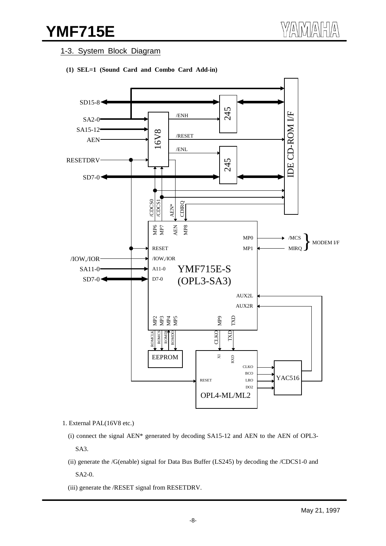## **YMF715E**

#### 1-3. System Block Diagram





- 1. External PAL(16V8 etc.)
	- (i) connect the signal AEN\* generated by decoding SA15-12 and AEN to the AEN of OPL3- SA3.
	- (ii) generate the /G(enable) signal for Data Bus Buffer (LS245) by decoding the /CDCS1-0 and SA2-0.
	- (iii) generate the /RESET signal from RESETDRV.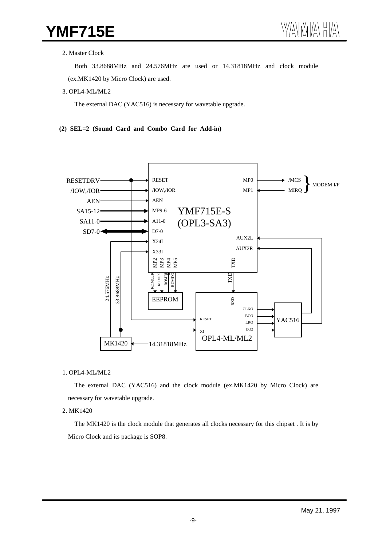#### 2. Master Clock

Both 33.8688MHz and 24.576MHz are used or 14.31818MHz and clock module

(ex.MK1420 by Micro Clock) are used.

3. OPL4-ML/ML2

The external DAC (YAC516) is necessary for wavetable upgrade.

#### **(2) SEL=2 (Sound Card and Combo Card for Add-in)**



#### 1. OPL4-ML/ML2

The external DAC (YAC516) and the clock module (ex.MK1420 by Micro Clock) are necessary for wavetable upgrade.

#### 2. MK1420

The MK1420 is the clock module that generates all clocks necessary for this chipset . It is by Micro Clock and its package is SOP8.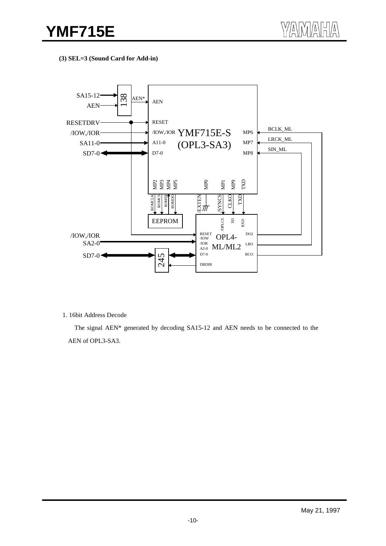**(3) SEL=3 (Sound Card for Add-in)**



1. 16bit Address Decode

The signal AEN\* generated by decoding SA15-12 and AEN needs to be connected to the AEN of OPL3-SA3.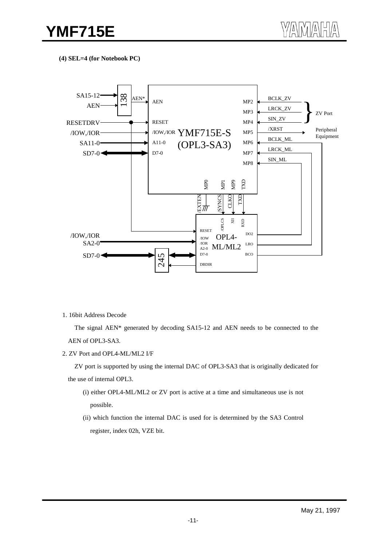**(4) SEL=4 (for Notebook PC)**



1. 16bit Address Decode

The signal AEN\* generated by decoding SA15-12 and AEN needs to be connected to the AEN of OPL3-SA3.

2. ZV Port and OPL4-ML/ML2 I/F

ZV port is supported by using the internal DAC of OPL3-SA3 that is originally dedicated for the use of internal OPL3.

- (i) either OPL4-ML/ML2 or ZV port is active at a time and simultaneous use is not possible.
- (ii) which function the internal DAC is used for is determined by the SA3 Control register, index 02h, VZE bit.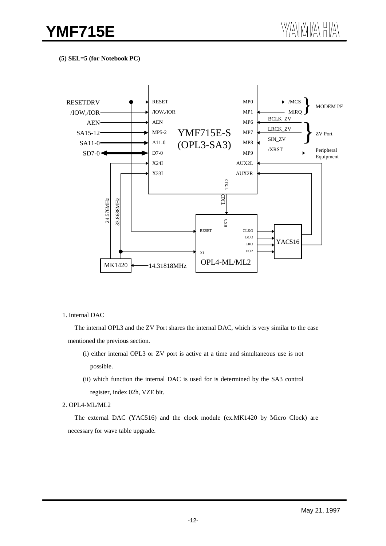**(5) SEL=5 (for Notebook PC)**



#### 1. Internal DAC

The internal OPL3 and the ZV Port shares the internal DAC, which is very similar to the case mentioned the previous section.

- (i) either internal OPL3 or ZV port is active at a time and simultaneous use is not possible.
- (ii) which function the internal DAC is used for is determined by the SA3 control register, index 02h, VZE bit.

#### 2. OPL4-ML/ML2

The external DAC (YAC516) and the clock module (ex.MK1420 by Micro Clock) are necessary for wave table upgrade.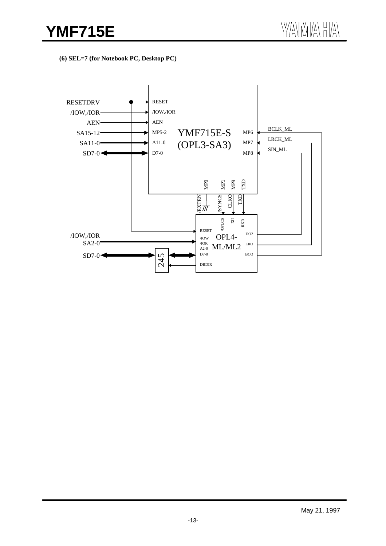**(6) SEL=7 (for Notebook PC, Desktop PC)**

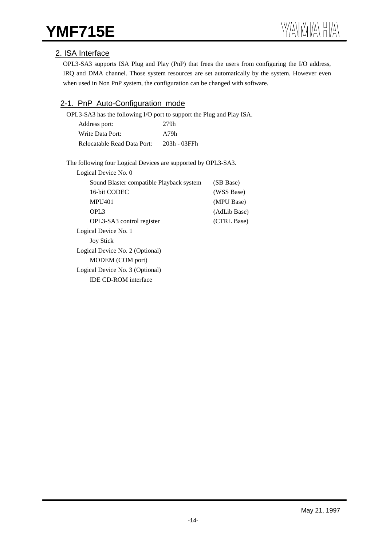## 2. ISA Interface

OPL3-SA3 supports ISA Plug and Play (PnP) that frees the users from configuring the I/O address, IRQ and DMA channel. Those system resources are set automatically by the system. However even when used in Non PnP system, the configuration can be changed with software.

## 2-1. PnP Auto-Configuration mode

OPL3-SA3 has the following I/O port to support the Plug and Play ISA.

| Address port:               | 279h         |
|-----------------------------|--------------|
| Write Data Port:            | A79h         |
| Relocatable Read Data Port: | 203h - 03FFh |

The following four Logical Devices are supported by OPL3-SA3.

| Logical Device No. 0                     |              |
|------------------------------------------|--------------|
| Sound Blaster compatible Playback system | (SB Base)    |
| 16-bit CODEC                             | (WSS Base)   |
| <b>MPU401</b>                            | (MPU Base)   |
| OPL <sub>3</sub>                         | (AdLib Base) |
| OPL3-SA3 control register                | (CTRL Base)  |
| Logical Device No. 1                     |              |
| <b>Joy Stick</b>                         |              |
| Logical Device No. 2 (Optional)          |              |
| MODEM (COM port)                         |              |
| Logical Device No. 3 (Optional)          |              |
| <b>IDE CD-ROM</b> interface              |              |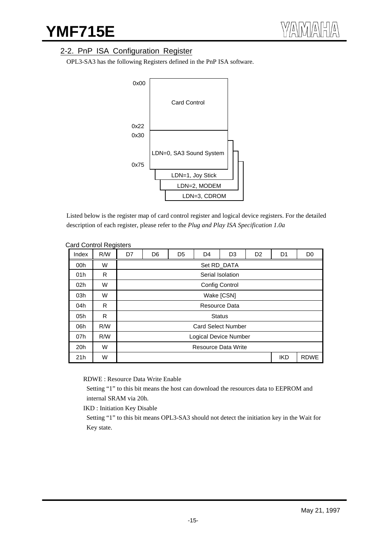## 2-2. PnP ISA Configuration Register

OPL3-SA3 has the following Registers defined in the PnP ISA software.



Listed below is the register map of card control register and logical device registers. For the detailed description of each register, please refer to the *Plug and Play ISA Specification 1.0a*

| Index           | R/W | D7 | D <sub>6</sub>        | D <sub>5</sub> | D <sub>4</sub>             | D <sub>3</sub>        | D <sub>2</sub> | D <sub>1</sub> | D <sub>0</sub> |
|-----------------|-----|----|-----------------------|----------------|----------------------------|-----------------------|----------------|----------------|----------------|
| 00h             | W   |    |                       |                |                            | Set RD_DATA           |                |                |                |
| 01h             | R   |    |                       |                |                            | Serial Isolation      |                |                |                |
| 02 <sub>h</sub> | W   |    |                       |                |                            | <b>Config Control</b> |                |                |                |
| 03h             | W   |    |                       |                |                            | Wake [CSN]            |                |                |                |
| 04h             | R   |    |                       |                |                            | Resource Data         |                |                |                |
| 05h             | R   |    |                       |                | <b>Status</b>              |                       |                |                |                |
| 06h             | R/W |    |                       |                | <b>Card Select Number</b>  |                       |                |                |                |
| 07h             | R/W |    | Logical Device Number |                |                            |                       |                |                |                |
| 20h             | W   |    |                       |                | <b>Resource Data Write</b> |                       |                |                |                |
| 21h             | W   |    |                       |                |                            |                       |                | <b>IKD</b>     | <b>RDWE</b>    |

#### Card Control Registers

RDWE : Resource Data Write Enable

 Setting "1" to this bit means the host can download the resources data to EEPROM and internal SRAM via 20h.

IKD : Initiation Key Disable

 Setting "1" to this bit means OPL3-SA3 should not detect the initiation key in the Wait for Key state.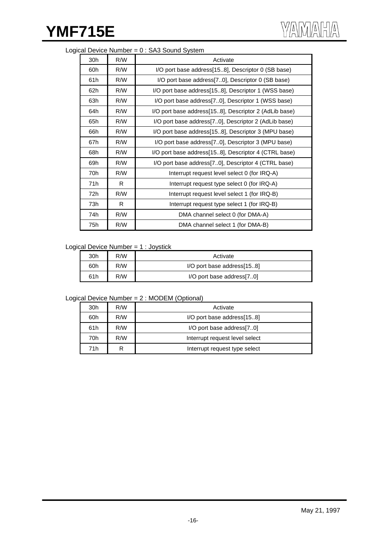### Logical Device Number = 0 : SA3 Sound System

| 30h | R/W | Activate                                              |
|-----|-----|-------------------------------------------------------|
| 60h | R/W | I/O port base address[158], Descriptor 0 (SB base)    |
| 61h | R/W | I/O port base address[70], Descriptor 0 (SB base)     |
| 62h | R/W | I/O port base address[158], Descriptor 1 (WSS base)   |
| 63h | R/W | I/O port base address [70], Descriptor 1 (WSS base)   |
| 64h | R/W | I/O port base address[158], Descriptor 2 (AdLib base) |
| 65h | R/W | I/O port base address[70], Descriptor 2 (AdLib base)  |
| 66h | R/W | I/O port base address[158], Descriptor 3 (MPU base)   |
| 67h | R/W | I/O port base address [70], Descriptor 3 (MPU base)   |
| 68h | R/W | I/O port base address[158], Descriptor 4 (CTRL base)  |
| 69h | R/W | I/O port base address[70], Descriptor 4 (CTRL base)   |
| 70h | R/W | Interrupt request level select 0 (for IRQ-A)          |
| 71h | R.  | Interrupt request type select 0 (for IRQ-A)           |
| 72h | R/W | Interrupt request level select 1 (for IRQ-B)          |
| 73h | R   | Interrupt request type select 1 (for IRQ-B)           |
| 74h | R/W | DMA channel select 0 (for DMA-A)                      |
| 75h | R/W | DMA channel select 1 (for DMA-B)                      |

#### Logical Device Number = 1 : Joystick

| 30h | R/W | Activate                   |
|-----|-----|----------------------------|
| 60h | R/W | I/O port base address[158] |
| 61h | R/W | I/O port base address[70]  |

## Logical Device Number = 2 : MODEM (Optional)

| 30h | R/W | Activate                       |
|-----|-----|--------------------------------|
| 60h | R/W | I/O port base address[158]     |
| 61h | R/W | I/O port base address[70]      |
| 70h | R/W | Interrupt request level select |
| 71h | R   | Interrupt request type select  |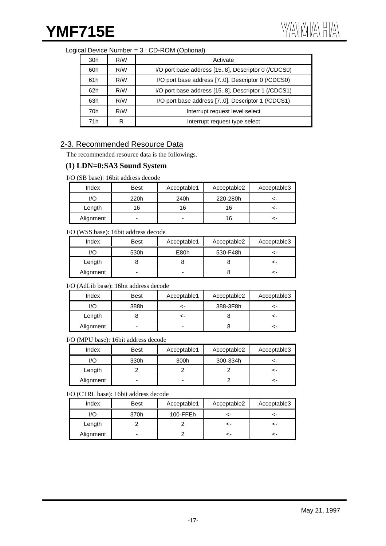## YMF715E

| Logical Device Number = 3 : CD-ROM (Optional) |
|-----------------------------------------------|
|-----------------------------------------------|

| 30h<br>R/W |                                                                                                                        | Activate                                            |
|------------|------------------------------------------------------------------------------------------------------------------------|-----------------------------------------------------|
| 60h        | R/M                                                                                                                    | I/O port base address [15.8], Descriptor 0 (/CDCS0) |
| 61h        | I/O port base address [70], Descriptor 0 (/CDCS0)<br>R/W<br>I/O port base address [15.8], Descriptor 1 (/CDCS1)<br>R/W |                                                     |
| 62h        |                                                                                                                        |                                                     |
| R/M<br>63h |                                                                                                                        | I/O port base address [70], Descriptor 1 (/CDCS1)   |
| 70h        | R/W                                                                                                                    | Interrupt request level select                      |
| 71h        | R                                                                                                                      | Interrupt request type select                       |

## 2-3. Recommended Resource Data

The recommended resource data is the followings.

### **(1) LDN=0:SA3 Sound System**

I/O (SB base): 16bit address decode

| Index     | <b>Best</b> | Acceptable1 | Acceptable2 | Acceptable3 |
|-----------|-------------|-------------|-------------|-------------|
| I/O       | 220h        | 240h        | 220-280h    | ←           |
| Length    | 16          | 16          | 16          | <-          |
| Alignment | -           |             | 16          | <-          |

#### I/O (WSS base): 16bit address decode

| Index     | <b>Best</b> | Acceptable1 | Acceptable2 | Acceptable3 |
|-----------|-------------|-------------|-------------|-------------|
| I/O       | 530h        | E80h        | 530-F48h    | <-          |
| Length    |             |             |             | <-          |
| Alignment | -           |             |             | <-          |

#### I/O (AdLib base): 16bit address decode

| Index     | <b>Best</b>    | Acceptable1 | Acceptable2 | Acceptable3 |
|-----------|----------------|-------------|-------------|-------------|
| I/O       | 388h           | ~-          | 388-3F8h    | <-          |
| Length    |                | ~-          |             | ~-          |
| Alignment | $\blacksquare$ |             |             |             |

I/O (MPU base): 16bit address decode

| Index     | <b>Best</b> | Acceptable1 | Acceptable2 | Acceptable3 |
|-----------|-------------|-------------|-------------|-------------|
| I/O       | 330h        | 300h        | 300-334h    | ←           |
| Length    |             |             |             | ⊂-          |
| Alignment | ۰           | -           |             | ⊂-          |

I/O (CTRL base): 16bit address decode

| Index     | <b>Best</b> | Acceptable1 | Acceptable2 | Acceptable3 |
|-----------|-------------|-------------|-------------|-------------|
| I/O       | 370h        | 100-FFEh    |             |             |
| Length    |             |             |             |             |
| Alignment | ۰           |             |             | ←           |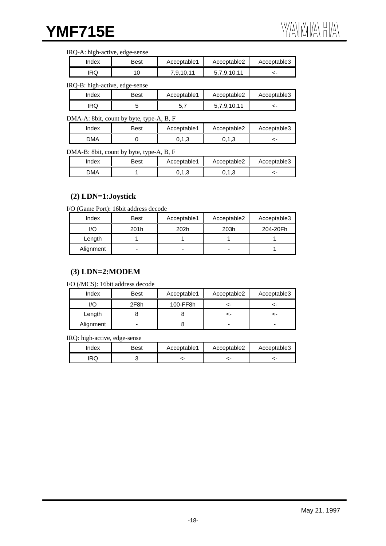#### IRQ-A: high-active, edge-sense

| Index | Best | Acceptable1 | Acceptable2 | Acceptable3 |
|-------|------|-------------|-------------|-------------|
| IRQ   | 10   | 7,9,10,11   | .9.10.11    |             |

#### IRQ-B: high-active, edge-sense

| Index | Best | Acceptable1 | Acceptable2 | Acceptable3 |
|-------|------|-------------|-------------|-------------|
| RQ    |      | ັ           | 5.7.9.10.11 |             |

#### DMA-A: 8bit, count by byte, type-A, B, F

| Index      | Best | Acceptable1 | Acceptable2                        | Acceptable3 |
|------------|------|-------------|------------------------------------|-------------|
| <b>DMA</b> |      | いいい         | $\overline{\phantom{a}}$<br>∪. ⊢.∪ |             |

#### DMA-B: 8bit, count by byte, type-A, B, F

| Index      | Best | Acceptable1 | Acceptable2 | Acceptable3 |
|------------|------|-------------|-------------|-------------|
| <b>DMA</b> |      | ∪, ∣, ∪     | ∪.∪         |             |

#### **(2) LDN=1:Joystick**

I/O (Game Port): 16bit address decode

| Index     | Best | Acceptable1 | Acceptable2 | Acceptable3 |
|-----------|------|-------------|-------------|-------------|
| I/O       | 201h | 202h        | 203h        | 204-20Fh    |
| Length    |      |             |             |             |
| Alignment | -    | -           | -           |             |

## **(3) LDN=2:MODEM**

I/O (/MCS): 16bit address decode

| Index     | <b>Best</b> | Acceptable1 | Acceptable2 | Acceptable3 |
|-----------|-------------|-------------|-------------|-------------|
| I/O       | 2F8h        | 100-FF8h    |             | ~-          |
| Length    |             |             |             |             |
| Alignment | -           |             |             |             |

IRQ: high-active, edge-sense

| Index | Best | Acceptable1 | Acceptable2 | Acceptable3 |
|-------|------|-------------|-------------|-------------|
| IRQ   |      |             |             |             |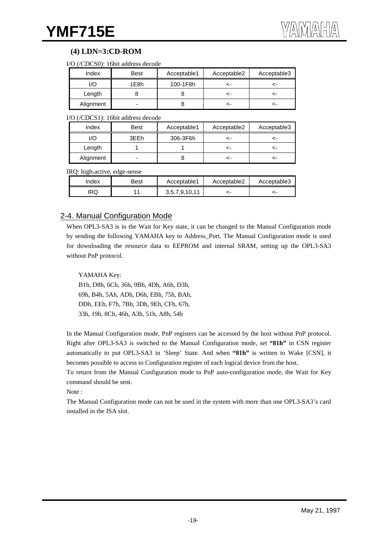## **(4) LDN=3:CD-ROM**

| I/O (/CDCS0): 16bit address decode |  |
|------------------------------------|--|
|------------------------------------|--|

| Index     | Best | Acceptable1 | Acceptable2 | Acceptable3 |
|-----------|------|-------------|-------------|-------------|
| I/O       | 1E8h | 100-1F8h    |             | <-          |
| Length    |      |             |             | ←           |
| Alignment | -    |             |             | ←           |

#### I/O (/CDCS1): 16bit address decode

| Index     | <b>Best</b> | Acceptable1 | Acceptable2 | Acceptable3 |
|-----------|-------------|-------------|-------------|-------------|
| I/O       | 3FFh        | 306-3F6h    |             |             |
| Length    |             |             |             |             |
| Alignment | -           |             |             |             |

#### IRQ: high-active, edge-sense

| Index | Best | Acceptable1   | Acceptable2 | Acceptable3 |
|-------|------|---------------|-------------|-------------|
| RQ    |      | 3,5,7,9,10,11 |             |             |

## 2-4. Manual Configuration Mode

When OPL3-SA3 is in the Wait for Key state, it can be changed to the Manual Configuration mode by sending the following YAMAHA key to Address\_Port. The Manual Configuration mode is used for downloading the resource data to EEPROM and internal SRAM, setting up the OPL3-SA3 without PnP protocol.

#### YAMAHA Key:

B1h, D8h, 6Ch, 36h, 9Bh, 4Dh, A6h, D3h, 69h, B4h, 5Ah, ADh, D6h, EBh, 75h, BAh, DDh, EEh, F7h, 7Bh, 3Dh, 9Eh, CFh, 67h, 33h, 19h, 8Ch, 46h, A3h, 51h, A8h, 54h

In the Manual Configuration mode, PnP registers can be accessed by the host without PnP protocol. Right after OPL3-SA3 is switched to the Manual Configuration mode, set **"81h"** in CSN register automatically to put OPL3-SA3 in 'Sleep' State. And when **"81h"** is written to Wake [CSN], it becomes possible to access to Configuration register of each logical device from the host.

To return from the Manual Configuration mode to PnP auto-configuration mode, the Wait for Key command should be sent.

Note :

The Manual Configuration mode can not be used in the system with more than one OPL3-SA3's card installed in the ISA slot.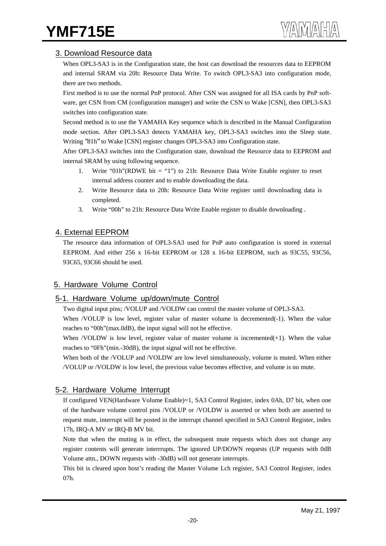## 3. Download Resource data

When OPL3-SA3 is in the Configuration state, the host can download the resources data to EEPROM and internal SRAM via 20h: Resource Data Write. To switch OPL3-SA3 into configuration mode, there are two methods.

First method is to use the normal PnP protocol. After CSN was assigned for all ISA cards by PnP software, get CSN from CM (configuration manager) and write the CSN to Wake [CSN], then OPL3-SA3 switches into configuration state.

Second method is to use the YAMAHA Key sequence which is described in the Manual Configuration mode section. After OPL3-SA3 detects YAMAHA key, OPL3-SA3 switches into the Sleep state. Writing "81h" to Wake [CSN] register changes OPL3-SA3 into Configuration state.

After OPL3-SA3 switches into the Configuration state, download the Resource data to EEPROM and internal SRAM by using following sequence.

- 1. Write "01h"(RDWE bit = "1") to 21h: Resource Data Write Enable register to reset internal address counter and to enable downloading the data.
- 2. Write Resource data to 20h: Resource Data Write register until downloading data is completed.
- 3. Write "00h" to 21h: Resource Data Write Enable register to disable downloading .

## 4. External EEPROM

The resource data information of OPL3-SA3 used for PnP auto configuration is stored in external EEPROM. And either 256 x 16-bit EEPROM or 128 x 16-bit EEPROM, such as 93C55, 93C56, 93C65, 93C66 should be used.

## 5. Hardware Volume Control

## 5-1. Hardware Volume up/down/mute Control

Two digital input pins; /VOLUP and /VOLDW can control the master volume of OPL3-SA3.

When /VOLUP is low level, register value of master volume is decremented(-1). When the value reaches to "00h"(max.0dB), the input signal will not be effective.

When /VOLDW is low level, register value of master volume is incremented $(+1)$ . When the value reaches to "0Fh"(min.-30dB), the input signal will not be effective.

When both of the /VOLUP and /VOLDW are low level simultaneously, volume is muted. When either /VOLUP or /VOLDW is low level, the previous value becomes effective, and volume is no mute.

## 5-2. Hardware Volume Interrupt

If configured VEN(Hardware Volume Enable)=1, SA3 Control Register, index 0Ah, D7 bit, when one of the hardware volume control pins /VOLUP or /VOLDW is asserted or when both are asserted to request mute, interrupt will be posted in the interrupt channel specified in SA3 Control Register, index 17h, IRQ-A MV or IRQ-B MV bit.

Note that when the muting is in effect, the subsequent mute requests which does not change any register contents will generate interrrupts. The ignored UP/DOWN requests (UP requests with 0dB Volume attn., DOWN requests with -30dB) will not generate interrupts.

This bit is cleared upon host's reading the Master Volume Lch register, SA3 Control Register, index 07h.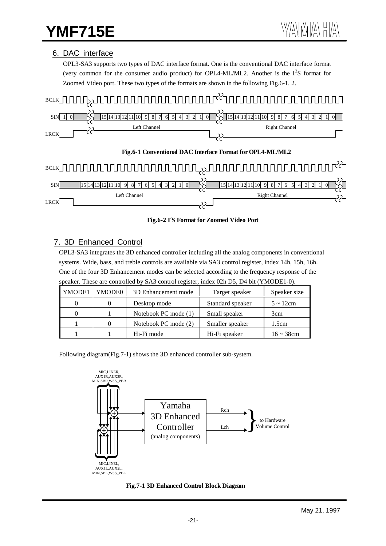## 6. DAC interface

OPL3-SA3 supports two types of DAC interface format. One is the conventional DAC interface format (very common for the consumer audio product) for OPL4-ML/ML2. Another is the  $I^2S$  format for Zoomed Video port. These two types of the formats are shown in the following Fig.6-1, 2.



**Fig.6-2 I2 S Format for Zoomed Video Port**

## 7. 3D Enhanced Control

OPL3-SA3 integrates the 3D enhanced controller including all the analog components in conventional systems. Wide, bass, and treble controls are available via SA3 control register, index 14h, 15h, 16h. One of the four 3D Enhancement modes can be selected according to the frequency response of the speaker. These are controlled by SA3 control register, index 02h D5, D4 bit (YMODE1-0).

| YMODE1 | YMODE0 | 3D Enhancement mode  | Target speaker   | Speaker size    |
|--------|--------|----------------------|------------------|-----------------|
|        |        | Desktop mode         | Standard speaker | $5 \sim 12$ cm  |
|        |        | Notebook PC mode (1) | Small speaker    | 3cm             |
|        |        | Notebook PC mode (2) | Smaller speaker  | 1.5cm           |
|        |        | Hi-Fi mode           | Hi-Fi speaker    | $16 \sim 38$ cm |

Following diagram(Fig.7-1) shows the 3D enhanced controller sub-system.



**Fig.7-1 3D Enhanced Control Block Diagram**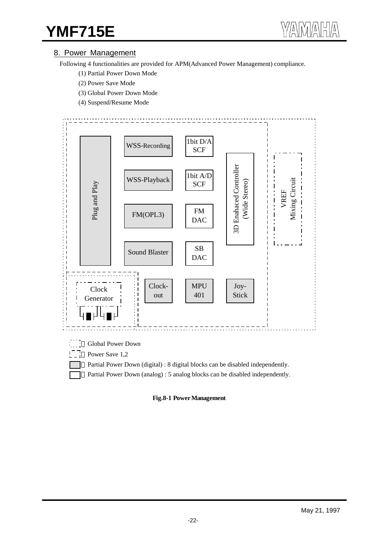## 8. Power Management

Following 4 functionalities are provided for APM(Advanced Power Management) compliance.

- (1) Partial Power Down Mode
- (2) Power Save Mode
- (3) Global Power Down Mode
- (4) Suspend/Resume Mode



Partial Power Down (digital) : 8 digital blocks can be disabled independently.

Partial Power Down (analog) : 5 analog blocks can be disabled independently.

**Fig.8-1 Power Management**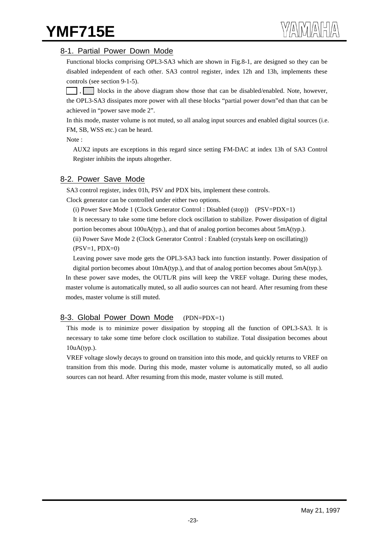## **YMF715E**

### 8-1. Partial Power Down Mode

Functional blocks comprising OPL3-SA3 which are shown in Fig.8-1, are designed so they can be disabled independent of each other. SA3 control register, index 12h and 13h, implements these controls (see section 9-1-5).

blocks in the above diagram show those that can be disabled/enabled. Note, however, the OPL3-SA3 dissipates more power with all these blocks "partial power down"ed than that can be achieved in "power save mode 2".

In this mode, master volume is not muted, so all analog input sources and enabled digital sources (i.e. FM, SB, WSS etc.) can be heard.

Note :

AUX2 inputs are exceptions in this regard since setting FM-DAC at index 13h of SA3 Control Register inhibits the inputs altogether.

## 8-2. Power Save Mode

SA3 control register, index 01h, PSV and PDX bits, implement these controls.

Clock generator can be controlled under either two options.

(i) Power Save Mode 1 (Clock Generator Control : Disabled (stop)) (PSV=PDX=1)

It is necessary to take some time before clock oscillation to stabilize. Power dissipation of digital portion becomes about 100uA(typ.), and that of analog portion becomes about 5mA(typ.). (ii) Power Save Mode 2 (Clock Generator Control : Enabled (crystals keep on oscillating))

 $(PSV=1, PDX=0)$ 

Leaving power save mode gets the OPL3-SA3 back into function instantly. Power dissipation of digital portion becomes about 10mA(typ.), and that of analog portion becomes about 5mA(typ.).

In these power save modes, the OUTL/R pins will keep the VREF voltage. During these modes, master volume is automatically muted, so all audio sources can not heard. After resuming from these modes, master volume is still muted.

## 8-3. Global Power Down Mode (PDN=PDX=1)

This mode is to minimize power dissipation by stopping all the function of OPL3-SA3. It is necessary to take some time before clock oscillation to stabilize. Total dissipation becomes about 10uA(typ.).

VREF voltage slowly decays to ground on transition into this mode, and quickly returns to VREF on transition from this mode. During this mode, master volume is automatically muted, so all audio sources can not heard. After resuming from this mode, master volume is still muted.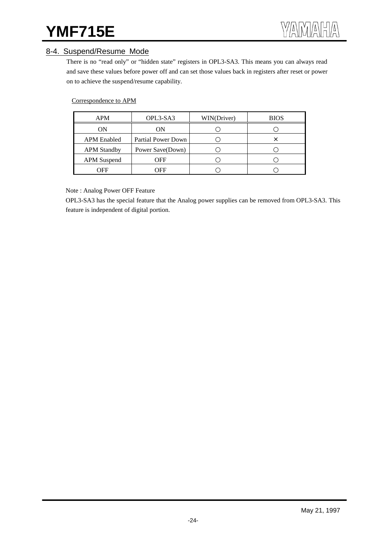## **YMF715E** WAWARAHA

## 8-4. Suspend/Resume Mode

There is no "read only" or "hidden state" registers in OPL3-SA3. This means you can always read and save these values before power off and can set those values back in registers after reset or power on to achieve the suspend/resume capability.

#### Correspondence to APM

| <b>APM</b>         | OPL3-SA3           | WIN(Driver) | <b>BIOS</b> |
|--------------------|--------------------|-------------|-------------|
| ON                 | ON                 |             |             |
| <b>APM</b> Enabled | Partial Power Down |             | X           |
| <b>APM Standby</b> | Power Save(Down)   |             |             |
| <b>APM</b> Suspend | OFF                |             |             |
| OFF                | OFF                |             |             |

Note : Analog Power OFF Feature

OPL3-SA3 has the special feature that the Analog power supplies can be removed from OPL3-SA3. This feature is independent of digital portion.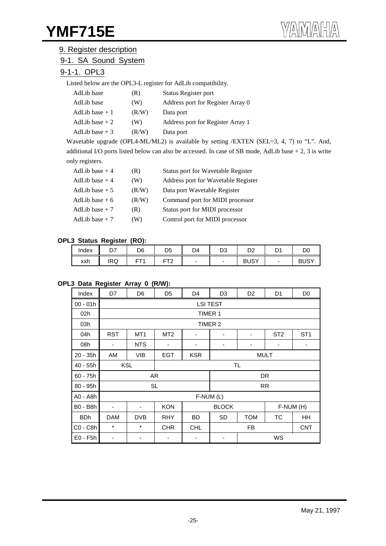### 9. Register description

## 9-1. SA Sound System

## 9-1-1. OPL3

Listed below are the OPL3-L register for AdLib compatibility.

| AdLib base      | (R)   | Status Register port              |
|-----------------|-------|-----------------------------------|
| AdLib base      | (W)   | Address port for Register Array 0 |
| AdLib base $+1$ | (R/W) | Data port                         |
| AdLib base $+2$ | (W)   | Address port for Register Array 1 |
| AdLib base $+3$ | (R/W) | Data port                         |

Wavetable upgrade (OPL4-ML/ML2) is available by setting /EXTEN (SEL=3, 4, 7) to "L". And, additional I/O ports listed below can also be accessed. In case of SB mode, AdLib base + 2, 3 is write only registers.

| AdLib base $+4$ | (R)   | Status port for Wavetable Register  |
|-----------------|-------|-------------------------------------|
| AdLib base $+4$ | (W)   | Address port for Wavetable Register |
| AdLib base $+5$ | (R/W) | Data port Wavetable Register        |
| AdLib base $+6$ | (R/W) | Command port for MIDI processor     |
| AdLib base $+7$ | (R)   | Status port for MIDI processor      |
| AdLib base $+7$ | (W)   | Control port for MIDI processor     |

#### **OPL3 Status Register (RO):**

| Index | $\sim$<br>້ | D6 | D <sub>5</sub>  | D4                       | D3 | n o<br>◡▵   | D.<br>◡ | D0          |
|-------|-------------|----|-----------------|--------------------------|----|-------------|---------|-------------|
| xxh   | <b>IRQ</b>  | FТ | --^<br>-<br>. . | $\overline{\phantom{a}}$ |    | <b>BUSY</b> |         | <b>BUSY</b> |

#### **OPL3 Data Register Array 0 (R/W):**

| Index           | D7                                                  | D <sub>6</sub>                                   | D <sub>5</sub>  | D4         | D <sub>3</sub>  | D <sub>2</sub> | D <sub>1</sub>  | D <sub>0</sub>           |
|-----------------|-----------------------------------------------------|--------------------------------------------------|-----------------|------------|-----------------|----------------|-----------------|--------------------------|
| $00 - 01h$      |                                                     |                                                  |                 |            | <b>LSI TEST</b> |                |                 |                          |
| 02h             |                                                     |                                                  |                 | TIMER 1    |                 |                |                 |                          |
| 03h             |                                                     |                                                  |                 |            | TIMER 2         |                |                 |                          |
| 04h             | <b>RST</b>                                          | MT <sub>1</sub>                                  | MT <sub>2</sub> | -          |                 | ٠              | ST <sub>2</sub> | ST <sub>1</sub>          |
| 08h             | $\qquad \qquad \blacksquare$                        | NTS.                                             |                 | -          |                 |                | -               | $\overline{\phantom{a}}$ |
| $20 - 35h$      | AM                                                  | <b>VIB</b>                                       | <b>EGT</b>      | <b>KSR</b> | <b>MULT</b>     |                |                 |                          |
| 40 - 55h        | <b>KSL</b><br><b>TL</b>                             |                                                  |                 |            |                 |                |                 |                          |
| $60 - 75h$      |                                                     |                                                  | AR              |            |                 |                | DR              |                          |
| $80 - 95h$      |                                                     |                                                  | <b>SL</b>       |            |                 |                | RR              |                          |
| A0 - A8h        |                                                     |                                                  |                 | F-NUM (L)  |                 |                |                 |                          |
| <b>B0 - B8h</b> | -                                                   |                                                  | <b>KON</b>      |            | <b>BLOCK</b>    |                | F-NUM (H)       |                          |
| <b>BDh</b>      | <b>DVB</b><br><b>RHY</b><br><b>BD</b><br><b>DAM</b> |                                                  |                 | SD         | <b>TOM</b>      | ТC             | HH              |                          |
| $CO - C8h$      | $^\star$                                            | $\star$<br><b>CHR</b><br><b>FB</b><br><b>CHL</b> |                 |            | <b>CNT</b>      |                |                 |                          |
| $E0 - F5h$      | ٠                                                   |                                                  |                 |            |                 |                | WS              |                          |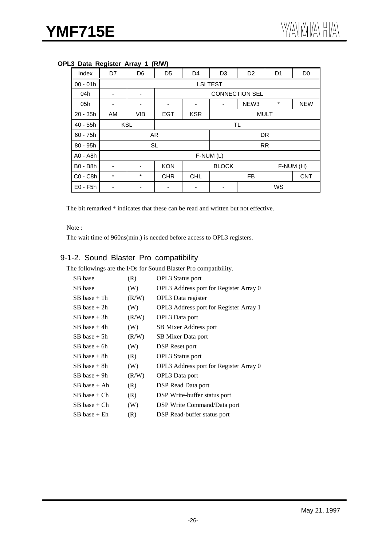| Index      | ັ<br>D7  | D <sub>6</sub> | D <sub>5</sub> | D <sub>4</sub>            | D <sub>3</sub>        | D <sub>2</sub>   | D <sub>1</sub> | D <sub>0</sub> |
|------------|----------|----------------|----------------|---------------------------|-----------------------|------------------|----------------|----------------|
|            |          |                |                |                           |                       |                  |                |                |
| $00 - 01h$ |          |                |                | <b>LSI TEST</b>           |                       |                  |                |                |
| 04h        | -        | ٠              |                |                           | <b>CONNECTION SEL</b> |                  |                |                |
| 05h        | -        | ٠              | ۰              | ۰                         | ۰                     | NEW <sub>3</sub> | $^\star$       | <b>NEW</b>     |
| 20 - 35h   | AM       | <b>VIB</b>     | <b>EGT</b>     | <b>MULT</b><br><b>KSR</b> |                       |                  |                |                |
| $40 - 55h$ |          | <b>KSL</b>     |                |                           | <b>TL</b>             |                  |                |                |
| $60 - 75h$ |          |                | AR             |                           |                       |                  | <b>DR</b>      |                |
| 80 - 95h   |          |                | <b>SL</b>      |                           |                       |                  | <b>RR</b>      |                |
| A0 - A8h   |          |                |                | F-NUM (L)                 |                       |                  |                |                |
| B0 - B8h   | ٠        | <b>KON</b>     |                |                           | <b>BLOCK</b>          |                  | F-NUM (H)      |                |
| C0 - C8h   | $^\star$ | $\star$        | <b>CHR</b>     | <b>CHL</b><br><b>FB</b>   |                       |                  | <b>CNT</b>     |                |
| $E0 - F5h$ |          |                |                | WS                        |                       |                  |                |                |

#### **OPL3 Data Register Array 1 (R/W)**

The bit remarked \* indicates that these can be read and written but not effective.

Note :

The wait time of 960ns(min.) is needed before access to OPL3 registers.

## 9-1-2. Sound Blaster Pro compatibility

The followings are the I/Os for Sound Blaster Pro compatibility.

| SB base          | (R)   | <b>OPL3</b> Status port                |
|------------------|-------|----------------------------------------|
| SB base          | (W)   | OPL3 Address port for Register Array 0 |
| $SB$ base $+1h$  | (R/W) | OPL3 Data register                     |
| $SB$ base $+$ 2h | (W)   | OPL3 Address port for Register Array 1 |
| $SB$ base $+3h$  | (R/W) | OPL3 Data port                         |
| $SB$ base $+$ 4h | (W)   | SB Mixer Address port                  |
| $SB$ base $+$ 5h | (R/W) | SB Mixer Data port                     |
| $SB$ base $+$ 6h | (W)   | DSP Reset port                         |
| $SB$ base $+$ 8h | (R)   | <b>OPL3</b> Status port                |
| $SB$ base $+$ 8h | (W)   | OPL3 Address port for Register Array 0 |
| $SB$ base $+$ 9h | (R/W) | OPL3 Data port                         |
| $SB$ base $+$ Ah | (R)   | DSP Read Data port                     |
| $SB$ base + $Ch$ | (R)   | DSP Write-buffer status port           |
| SB base + Ch     | (W)   | DSP Write Command/Data port            |
| SB base + Eh     | (R)   | DSP Read-buffer status port            |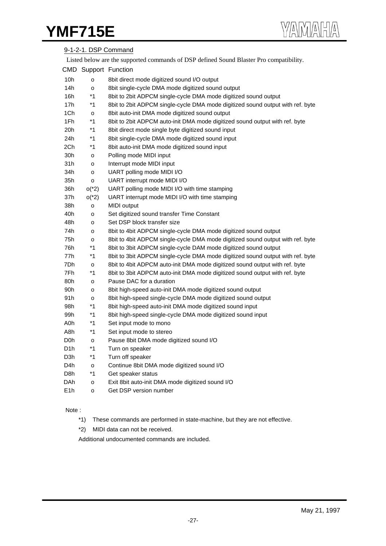## YMF715E

|                  |              | 9-1-2-1. DSP Command                                                                    |
|------------------|--------------|-----------------------------------------------------------------------------------------|
|                  |              | Listed below are the supported commands of DSP defined Sound Blaster Pro compatibility. |
|                  |              | CMD Support Function                                                                    |
| 10h              | o            | 8bit direct mode digitized sound I/O output                                             |
| 14h              | o            | 8bit single-cycle DMA mode digitized sound output                                       |
| 16h              | $*1$         | 8bit to 2bit ADPCM single-cycle DMA mode digitized sound output                         |
| 17h              | $*1$         | 8bit to 2bit ADPCM single-cycle DMA mode digitized sound output with ref. byte          |
| 1Ch              | $\mathsf{o}$ | 8bit auto-init DMA mode digitized sound output                                          |
| 1Fh              | $*1$         | 8bit to 2bit ADPCM auto-init DMA mode digitized sound output with ref. byte             |
| 20h              | $*1$         | 8bit direct mode single byte digitized sound input                                      |
| 24h              | $*1$         | 8bit single-cycle DMA mode digitized sound input                                        |
| 2Ch              | $*1$         | 8bit auto-init DMA mode digitized sound input                                           |
| 30h              | o            | Polling mode MIDI input                                                                 |
| 31h              | o            | Interrupt mode MIDI input                                                               |
| 34h              | o            | UART polling mode MIDI I/O                                                              |
| 35h              | o            | UART interrupt mode MIDI I/O                                                            |
| 36h              | $o(^{*}2)$   | UART polling mode MIDI I/O with time stamping                                           |
| 37h              | $o(^{*}2)$   | UART interrupt mode MIDI I/O with time stamping                                         |
| 38h              | o            | MIDI output                                                                             |
| 40h              | o            | Set digitized sound transfer Time Constant                                              |
| 48h              | o            | Set DSP block transfer size                                                             |
| 74h              | o            | 8bit to 4bit ADPCM single-cycle DMA mode digitized sound output                         |
| 75h              | o            | 8bit to 4bit ADPCM single-cycle DMA mode digitized sound output with ref. byte          |
| 76h              | $*1$         | 8bit to 3bit ADPCM single-cycle DAM mode digitized sound output                         |
| 77h              | $*1$         | 8bit to 3bit ADPCM single-cycle DMA mode digitized sound output with ref. byte          |
| 7Dh              | o            | 8bit to 4bit ADPCM auto-init DMA mode digitized sound output with ref. byte             |
| 7Fh              | $*1$         | 8bit to 3bit ADPCM auto-init DMA mode digitized sound output with ref. byte             |
| 80h              | o            | Pause DAC for a duration                                                                |
| 90h              | o            | 8bit high-speed auto-init DMA mode digitized sound output                               |
| 91h              | o            | 8bit high-speed single-cycle DMA mode digitized sound output                            |
| 98h              | $*1$         | 8bit high-speed auto-init DMA mode digitized sound input                                |
| 99h              | $*1$         | 8bit high-speed single-cycle DMA mode digitized sound input                             |
| A0h              | $*1$         | Set input mode to mono                                                                  |
| A8h              | $*1$         | Set input mode to stereo                                                                |
| D0h              | $\mathsf{o}$ | Pause 8bit DMA mode digitized sound I/O                                                 |
| D <sub>1</sub> h | $*1$         | Turn on speaker                                                                         |
| D3h              | $*1$         | Turn off speaker                                                                        |
| D4h              | $\mathsf{o}$ | Continue 8bit DMA mode digitized sound I/O                                              |
| D8h              | $*1$         | Get speaker status                                                                      |
| DAh              | o            | Exit 8bit auto-init DMA mode digitized sound I/O                                        |
| E <sub>1</sub> h | o            | Get DSP version number                                                                  |

#### Note :

- \*1) These commands are performed in state-machine, but they are not effective.
- \*2) MIDI data can not be received.

Additional undocumented commands are included.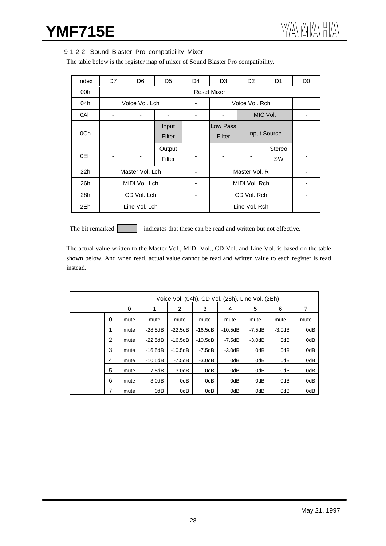#### 9-1-2-2. Sound Blaster Pro compatibility Mixer

The table below is the register map of mixer of Sound Blaster Pro compatibility.

| Index | D7             | D <sub>6</sub>  | D <sub>5</sub>   | D <sub>4</sub> | D <sub>3</sub>     | D <sub>2</sub> | D <sub>1</sub>      | D <sub>0</sub> |
|-------|----------------|-----------------|------------------|----------------|--------------------|----------------|---------------------|----------------|
| 00h   |                |                 |                  |                | <b>Reset Mixer</b> |                |                     |                |
| 04h   |                | Voice Vol. Lch  |                  |                | Voice Vol. Rch     |                |                     |                |
| 0Ah   |                |                 |                  |                |                    |                | MIC Vol.            |                |
| 0Ch   | ٠              |                 | Input<br>Filter  |                | Low Pass<br>Filter |                | <b>Input Source</b> |                |
| 0Eh   | $\overline{a}$ |                 | Output<br>Filter | ۰              |                    |                | Stereo<br><b>SW</b> |                |
| 22h   |                | Master Vol. Lch |                  |                |                    | Master Vol. R  |                     |                |
| 26h   | MIDI Vol. Lch  |                 |                  |                | MIDI Vol. Rch      |                |                     |                |
| 28h   | CD Vol. Lch    |                 |                  |                | CD Vol. Rch        |                |                     |                |
| 2Eh   |                | Line Vol. Lch   |                  |                | Line Vol. Rch      |                |                     |                |

The bit remarked indicates that these can be read and written but not effective.

The actual value written to the Master Vol., MIDI Vol., CD Vol. and Line Vol. is based on the table shown below. And when read, actual value cannot be read and written value to each register is read instead.

|  |   |      |           |           |           | Voice Vol. (04h), CD Vol. (28h), Line Vol. (2Eh) |          |          |      |
|--|---|------|-----------|-----------|-----------|--------------------------------------------------|----------|----------|------|
|  |   | 0    | 1         | 2         | 3         | 4                                                | 5        | 6        | 7    |
|  | 0 | mute | mute      | mute      | mute      | mute                                             | mute     | mute     | mute |
|  | 1 | mute | $-28.5dB$ | $-22.5dB$ | $-16.5dB$ | $-10.5dB$                                        | -7.5dB   | $-3.0dB$ | 0dB  |
|  | 2 | mute | $-22.5dB$ | $-16.5dB$ | -10.5dB   | -7.5dB                                           | $-3.0dB$ | 0dB      | 0dB  |
|  | 3 | mute | $-16.5dB$ | $-10.5dB$ | -7.5dB    | $-3.0dB$                                         | 0dB      | 0dB      | 0dB  |
|  | 4 | mute | $-10.5dB$ | $-7.5dB$  | $-3.0dB$  | 0dB                                              | 0dB      | 0dB      | 0dB  |
|  | 5 | mute | -7.5dB    | $-3.0dB$  | 0dB       | 0dB                                              | 0dB      | 0dB      | 0dB  |
|  | 6 | mute | $-3.0dB$  | 0dB       | 0dB       | 0dB                                              | 0dB      | 0dB      | 0dB  |
|  | 7 | mute | 0dB       | 0dB       | 0dB       | 0dB                                              | 0dB      | 0dB      | 0dB  |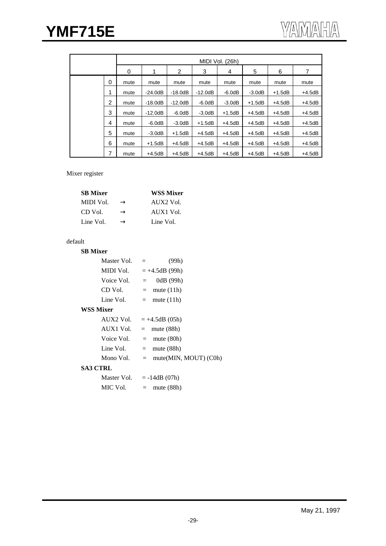|  |   | MIDI Vol. (26h) |           |           |           |          |          |          |          |  |
|--|---|-----------------|-----------|-----------|-----------|----------|----------|----------|----------|--|
|  |   | 0               | 1         | 2         | 3         | 4        | 5        | 6        | 7        |  |
|  | 0 | mute            | mute      | mute      | mute      | mute     | mute     | mute     | mute     |  |
|  | 1 | mute            | $-24.0dB$ | $-18.0dB$ | $-12.0dB$ | $-6.0dB$ | $-3.0dB$ | $+1.5dB$ | $+4.5dB$ |  |
|  | 2 | mute            | $-18.0dB$ | $-12.0dB$ | $-6.0dB$  | $-3.0dB$ | $+1.5dB$ | $+4.5dB$ | $+4.5dB$ |  |
|  | 3 | mute            | $-12.0dB$ | $-6.0dB$  | $-3.0dB$  | $+1.5dB$ | $+4.5dB$ | $+4.5dB$ | $+4.5dB$ |  |
|  | 4 | mute            | $-6.0dB$  | $-3.0dB$  | $+1.5dB$  | $+4.5dB$ | $+4.5dB$ | $+4.5dB$ | $+4.5dB$ |  |
|  | 5 | mute            | $-3.0dB$  | $+1.5dB$  | $+4.5dB$  | $+4.5dB$ | $+4.5dB$ | $+4.5dB$ | $+4.5dB$ |  |
|  | 6 | mute            | $+1.5dB$  | $+4.5dB$  | $+4.5dB$  | $+4.5dB$ | $+4.5dB$ | $+4.5dB$ | $+4.5dB$ |  |
|  | 7 | mute            | $+4.5dB$  | $+4.5dB$  | $+4.5dB$  | $+4.5dB$ | $+4.5dB$ | $+4.5dB$ | $+4.5dB$ |  |

#### Mixer register

| <b>SB</b> Mixer | <b>WSS Mixer</b> |
|-----------------|------------------|
| MIDI Vol.       | AIIX2 Vol.       |
| CD Vol.         | AUX1 Vol.        |
| Line Vol.       | Line Vol.        |

## default

| <b>SB</b> Mixer  |                            |
|------------------|----------------------------|
| Master Vol.      | (99h)<br>$=$               |
| MIDI Vol.        | $= +4.5dB(99h)$            |
| Voice Vol.       | 0dB (99h)<br>$=$ $-$       |
| CD Vol.          | $=$ mute (11h)             |
| Line Vol.        | $=$ mute (11h)             |
| <b>WSS Mixer</b> |                            |
| AUX2 Vol.        | $= +4.5dB(05h)$            |
| AUX1 Vol.        | $=$ mute (88h)             |
| Voice Vol.       | $=$ mute (80h)             |
| Line Vol.        | $=$ mute (88h)             |
| Mono Vol.        | $=$ mute(MIN, MOUT) (C0h)  |
| <b>SA3 CTRL</b>  |                            |
|                  | Master Vol. $= -14dB(07h)$ |
| MIC Vol.         | $=$ mute (88h)             |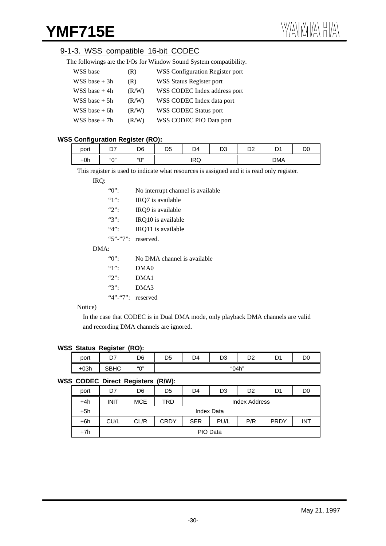## 9-1-3. WSS compatible 16-bit CODEC

| The followings are the I/Os for Window Sound System compatibility. |  |  |
|--------------------------------------------------------------------|--|--|

| WSS base          | (R)   | <b>WSS Configuration Register port</b> |
|-------------------|-------|----------------------------------------|
| $WSS base + 3h$   | (R)   | <b>WSS Status Register port</b>        |
| WSS base $+4h$    | (R/W) | WSS CODEC Index address port           |
| $WSS base + 5h$   | (R/W) | WSS CODEC Index data port              |
| $WSS$ base $+$ 6h | (R/W) | WSS CODEC Status port                  |
| $WSS base + 7h$   | (R/W) | WSS CODEC PIO Data port                |

## **WSS Configuration Register (RO):**

| . .<br>port | --<br>، ب<br>_ - | <br>D6    | nr<br>◡ | D <sub>4</sub>         | n o<br>υJ | D <sub>n</sub><br>◡▵ | ņ٠<br>ັ    | DO |
|-------------|------------------|-----------|---------|------------------------|-----------|----------------------|------------|----|
| $+0h$       | "∩"              | $``\cap"$ |         | ID <sub>O</sub><br>שחו |           |                      | <b>DMA</b> |    |

This register is used to indicate what resources is assigned and it is read only register.

#### IRQ:

| $\lq\lq\lq\lq\lq\lq\lq$       | No interrupt channel is available. |
|-------------------------------|------------------------------------|
| 41                            | IRO7 is available                  |
| $\lq\lq\lq\lq\lq\lq$          | IRO9 is available                  |
| ``3"                          | IRQ10 is available                 |
| 4.4                           | IRQ11 is available                 |
|                               | " $5$ " $-$ " $7$ ": reserved.     |
| DMA:                          |                                    |
| "0":                          | No DMA channel is available        |
| 4.1                           | DMA <sub>0</sub>                   |
| $\mathcal{L}$                 | DMA1                               |
| ``3"                          | DMA3                               |
| " $4$ " $-$ " $7$ ": reserved |                                    |
| $\lambda$                     |                                    |

#### Notice)

In the case that CODEC is in Dual DMA mode, only playback DMA channels are valid and recording DMA channels are ignored.

#### **WSS Status Register (RO):**

| port   | --<br><u>.</u> | D6  | D5 | D4 | D <sub>3</sub> | n o<br>◡▵<br>-- | n.<br>◡ | D <sub>0</sub> |
|--------|----------------|-----|----|----|----------------|-----------------|---------|----------------|
| $+03h$ | SBHC           | "ሰ" |    |    | "04h"          |                 |         |                |

#### **WSS CODEC Direct Registers (R/W):**

|       |             | - -                                                                    |                |               |    |                |    |                |  |
|-------|-------------|------------------------------------------------------------------------|----------------|---------------|----|----------------|----|----------------|--|
| port  | D7          | D6                                                                     | D <sub>5</sub> | D4            | D3 | D <sub>2</sub> | D1 | D <sub>0</sub> |  |
| $+4h$ | <b>INIT</b> | <b>MCE</b>                                                             | TRD            | Index Address |    |                |    |                |  |
| $+5h$ |             |                                                                        |                | Index Data    |    |                |    |                |  |
| $+6h$ | CU/L        | <b>PRDY</b><br>P/R<br>CL/R<br><b>CRDY</b><br>PU/L<br><b>SER</b><br>INT |                |               |    |                |    |                |  |
| $+7h$ |             | PIO Data                                                               |                |               |    |                |    |                |  |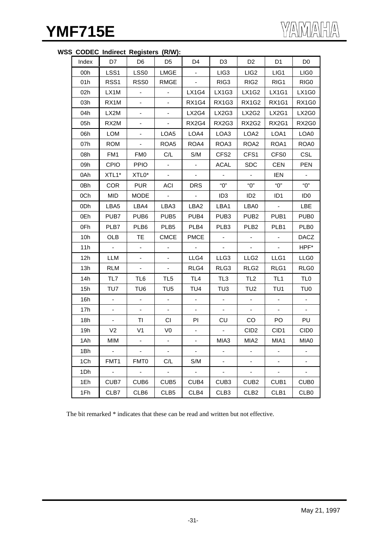## **WSS CODEC Indirect Registers (R/W):**

| Index | D7               | D <sub>6</sub>           | D <sub>5</sub>               | D <sub>4</sub>           | D <sub>3</sub>   | D <sub>2</sub>           | D <sub>1</sub>           | D <sub>0</sub>   |
|-------|------------------|--------------------------|------------------------------|--------------------------|------------------|--------------------------|--------------------------|------------------|
| 00h   | LSS1             | LSS0                     | LMGE                         | $\blacksquare$           | LIG <sub>3</sub> | LIG <sub>2</sub>         | LIG1                     | LIG <sub>0</sub> |
| 01h   | RSS <sub>1</sub> | RSS <sub>0</sub>         | RMGE                         |                          | RIG <sub>3</sub> | RIG <sub>2</sub>         | RIG1                     | RIG <sub>0</sub> |
| 02h   | LX1M             |                          |                              | LX1G4                    | LX1G3            | LX1G2                    | LX1G1                    | <b>LX1G0</b>     |
| 03h   | RX1M             | $\blacksquare$           | $\overline{\phantom{a}}$     | <b>RX1G4</b>             | <b>RX1G3</b>     | <b>RX1G2</b>             | <b>RX1G1</b>             | RX1G0            |
| 04h   | LX2M             | $\overline{\phantom{0}}$ | $\qquad \qquad \blacksquare$ | LX2G4                    | LX2G3            | LX2G2                    | LX2G1                    | LX2G0            |
| 05h   | RX2M             |                          | $\overline{\phantom{a}}$     | RX2G4                    | RX2G3            | RX2G2                    | RX2G1                    | RX2G0            |
| 06h   | <b>LOM</b>       | $\blacksquare$           | LOA5                         | LOA4                     | LOA3             | LOA <sub>2</sub>         | LOA1                     | LOA0             |
| 07h   | <b>ROM</b>       | $\overline{\phantom{a}}$ | ROA <sub>5</sub>             | ROA4                     | ROA3             | ROA <sub>2</sub>         | ROA1                     | ROA0             |
| 08h   | FM1              | <b>FM0</b>               | C/L                          | S/M                      | CFS <sub>2</sub> | CFS1                     | CFS <sub>0</sub>         | <b>CSL</b>       |
| 09h   | <b>CPIO</b>      | <b>PPIO</b>              | $\blacksquare$               | $\overline{\phantom{a}}$ | ACAL             | <b>SDC</b>               | <b>CEN</b>               | <b>PEN</b>       |
| 0Ah   | XTL1*            | XTL0*                    | $\blacksquare$               |                          |                  |                          | <b>IEN</b>               |                  |
| 0Bh   | <b>COR</b>       | <b>PUR</b>               | <b>ACI</b>                   | <b>DRS</b>               | "О"              | "О"                      | "О"                      | "O"              |
| 0Ch   | <b>MID</b>       | <b>MODE</b>              | $\sim$                       | $\sim$                   | ID <sub>3</sub>  | ID <sub>2</sub>          | ID <sub>1</sub>          | ID <sub>0</sub>  |
| 0Dh   | LBA5             | LBA4                     | LBA3                         | LBA2                     | LBA1             | LBA0                     | $\sim$                   | LBE              |
| 0Eh   | PUB7             | PUB <sub>6</sub>         | PUB <sub>5</sub>             | PUB4                     | PUB <sub>3</sub> | PUB <sub>2</sub>         | PUB <sub>1</sub>         | PUB <sub>0</sub> |
| 0Fh   | PLB7             | PLB6                     | PLB5                         | PLB4                     | PLB <sub>3</sub> | PLB <sub>2</sub>         | PLB1                     | PLB <sub>0</sub> |
| 10h   | OLB              | <b>TE</b>                | <b>CMCE</b>                  | <b>PMCE</b>              |                  |                          | $\blacksquare$           | <b>DACZ</b>      |
| 11h   | $\blacksquare$   | $\blacksquare$           |                              | $\blacksquare$           |                  |                          | $\blacksquare$           | HPF*             |
| 12h   | LLM              | $\blacksquare$           | $\blacksquare$               | LLG4                     | LLG3             | LLG <sub>2</sub>         | LLG1                     | LLG <sub>0</sub> |
| 13h   | <b>RLM</b>       | $\blacksquare$           | ۰.                           | RLG4                     | RLG3             | RLG <sub>2</sub>         | RLG1                     | RLG0             |
| 14h   | TL7              | TL6                      | TL <sub>5</sub>              | TL <sub>4</sub>          | TL <sub>3</sub>  | TL <sub>2</sub>          | TL <sub>1</sub>          | TL <sub>0</sub>  |
| 15h   | TU7              | TU6                      | TU <sub>5</sub>              | TU <sub>4</sub>          | TU3              | TU <sub>2</sub>          | TU1                      | TU0              |
| 16h   |                  | $\overline{\phantom{a}}$ | $\overline{\phantom{a}}$     |                          |                  |                          |                          |                  |
| 17h   | $\frac{1}{2}$    | $\blacksquare$           |                              |                          |                  |                          |                          |                  |
| 18h   | $\blacksquare$   | TI                       | CI                           | PI                       | CU               | CO                       | PO                       | PU               |
| 19h   | V <sub>2</sub>   | V <sub>1</sub>           | V <sub>0</sub>               |                          | $\sim$           | CID <sub>2</sub>         | CID1                     | CID <sub>0</sub> |
| 1Ah   | MIM              |                          |                              |                          | MIA3             | MIA <sub>2</sub>         | MIA1                     | MIA0             |
| 1Bh   | $\blacksquare$   | $\omega$                 | $\omega$                     | $\overline{\phantom{a}}$ | $\frac{1}{2}$    | $\overline{\phantom{0}}$ | ۰                        | ۰                |
| 1Ch   | FMT1             | FMT0                     | C/L                          | S/M                      | ۰.               | ۰                        | $\overline{\phantom{a}}$ | ۰                |
| 1Dh   | $\Box$           | $\Box$                   | $\blacksquare$               | $\Box$                   |                  | $\overline{\phantom{a}}$ | $\blacksquare$           | ÷,               |
| 1Eh   | CUB7             | CUB <sub>6</sub>         | CUB <sub>5</sub>             | CUB4                     | CUB <sub>3</sub> | CUB <sub>2</sub>         | CUB1                     | CUB <sub>0</sub> |
| 1Fh   | CLB7             | CLB <sub>6</sub>         | CLB <sub>5</sub>             | CLB4                     | CLB <sub>3</sub> | CLB <sub>2</sub>         | CLB1                     | CLB <sub>0</sub> |

The bit remarked \* indicates that these can be read and written but not effective.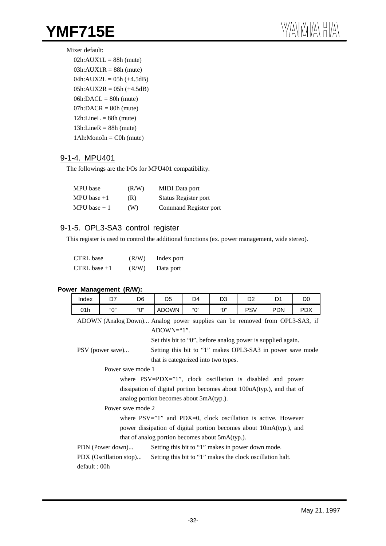#### Mixer default:

| $02h:AVX1L = 88h$ (mute)   |
|----------------------------|
| $03h:AUX1R = 88h$ (mute)   |
| $04h:AUX2L = 05h (+4.5dB)$ |
| $05h:AUX2R = 05h (+4.5dB)$ |
| $06h:DACL = 80h$ (mute)    |
| $07h:DACR = 80h$ (mute)    |
| $12h$ :LineL = 88h (mute)  |
| $13h$ :LineR = 88h (mute)  |
| $1Ah: Monoln = C0h$ (mute) |
|                            |

## 9-1-4. MPU401

The followings are the I/Os for MPU401 compatibility.

| MPU base      | (R/W) | <b>MIDI</b> Data port |
|---------------|-------|-----------------------|
| MPU base $+1$ | (R)   | Status Register port  |
| MPU base $+1$ | (W)   | Command Register port |

## 9-1-5. OPL3-SA3 control register

This register is used to control the additional functions (ex. power management, wide stereo).

| CTRL base      | (R/W) | Index port |
|----------------|-------|------------|
| CTRL base $+1$ | (R/W) | Data port  |

#### **Power Management (R/W):**

| Index                                                                         | D7                                                                    | D6                | D <sub>5</sub>                                                         | D4  | D <sub>3</sub> | D <sub>2</sub> | D <sub>1</sub> | D <sub>0</sub> |  |  |
|-------------------------------------------------------------------------------|-----------------------------------------------------------------------|-------------------|------------------------------------------------------------------------|-----|----------------|----------------|----------------|----------------|--|--|
| 01h                                                                           | "О"                                                                   | "О"               | <b>ADOWN</b>                                                           | "በ" | "በ"            | <b>PSV</b>     | <b>PDN</b>     | <b>PDX</b>     |  |  |
| ADOWN (Analog Down) Analog power supplies can be removed from OPL3-SA3, if    |                                                                       |                   |                                                                        |     |                |                |                |                |  |  |
| $ADOWN='1".$                                                                  |                                                                       |                   |                                                                        |     |                |                |                |                |  |  |
| Set this bit to "0", before analog power is supplied again.                   |                                                                       |                   |                                                                        |     |                |                |                |                |  |  |
| Setting this bit to "1" makes OPL3-SA3 in power save mode<br>PSV (power save) |                                                                       |                   |                                                                        |     |                |                |                |                |  |  |
| that is categorized into two types.                                           |                                                                       |                   |                                                                        |     |                |                |                |                |  |  |
| Power save mode 1                                                             |                                                                       |                   |                                                                        |     |                |                |                |                |  |  |
| where PSV=PDX="1", clock oscillation is disabled and power                    |                                                                       |                   |                                                                        |     |                |                |                |                |  |  |
|                                                                               |                                                                       |                   | dissipation of digital portion becomes about 100uA(typ.), and that of  |     |                |                |                |                |  |  |
|                                                                               |                                                                       |                   | analog portion becomes about $5mA(typ)$ .                              |     |                |                |                |                |  |  |
|                                                                               |                                                                       | Power save mode 2 |                                                                        |     |                |                |                |                |  |  |
|                                                                               |                                                                       |                   | where $PSV = "1"$ and $PDX = 0$ , clock oscillation is active. However |     |                |                |                |                |  |  |
|                                                                               |                                                                       |                   | power dissipation of digital portion becomes about 10mA(typ.), and     |     |                |                |                |                |  |  |
|                                                                               |                                                                       |                   | that of analog portion becomes about 5mA(typ.).                        |     |                |                |                |                |  |  |
|                                                                               | PDN (Power down)<br>Setting this bit to "1" makes in power down mode. |                   |                                                                        |     |                |                |                |                |  |  |
|                                                                               | PDX (Oscillation stop)                                                |                   | Setting this bit to "1" makes the clock oscillation halt.              |     |                |                |                |                |  |  |
| default: 00h                                                                  |                                                                       |                   |                                                                        |     |                |                |                |                |  |  |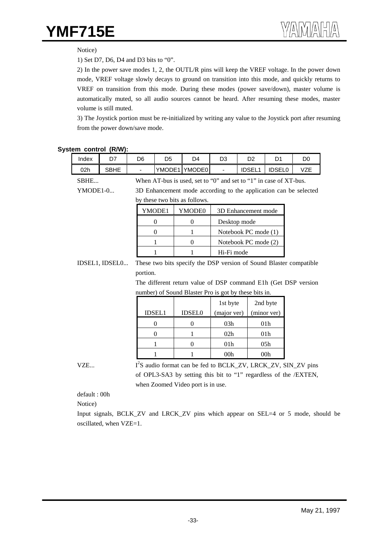#### Notice)

1) Set D7, D6, D4 and D3 bits to "0".

2) In the power save modes 1, 2, the OUTL/R pins will keep the VREF voltage. In the power down mode, VREF voltage slowly decays to ground on transition into this mode, and quickly returns to VREF on transition from this mode. During these modes (power save/down), master volume is automatically muted, so all audio sources cannot be heard. After resuming these modes, master volume is still muted.

3) The Joystick portion must be re-initialized by writing any value to the Joystick port after resuming from the power down/save mode.

#### **System control (R/W):**

| Index          | D7          |  | D <sub>6</sub>                                                     | D <sub>5</sub>   | D <sub>4</sub>                                                            | D <sub>3</sub>       | D <sub>2</sub>       | D <sub>1</sub>  | D <sub>0</sub> |  |
|----------------|-------------|--|--------------------------------------------------------------------|------------------|---------------------------------------------------------------------------|----------------------|----------------------|-----------------|----------------|--|
| 02h            | <b>SBHE</b> |  |                                                                    |                  | YMODE1 YMODE0                                                             |                      | <b>IDSEL1</b>        | <b>IDSEL0</b>   | <b>VZE</b>     |  |
| SBHE           |             |  | When AT-bus is used, set to "0" and set to "1" in case of XT-bus.  |                  |                                                                           |                      |                      |                 |                |  |
| YMODE1-0       |             |  | 3D Enhancement mode according to the application can be selected   |                  |                                                                           |                      |                      |                 |                |  |
|                |             |  |                                                                    |                  | by these two bits as follows.                                             |                      |                      |                 |                |  |
|                |             |  |                                                                    | YMODE1           | YMODE0                                                                    |                      | 3D Enhancement mode  |                 |                |  |
|                |             |  |                                                                    | $\boldsymbol{0}$ | $\theta$                                                                  | Desktop mode         |                      |                 |                |  |
|                |             |  |                                                                    | $\Omega$         | 1                                                                         | Notebook PC mode (1) |                      |                 |                |  |
|                |             |  | 1                                                                  |                  | $\theta$                                                                  |                      | Notebook PC mode (2) |                 |                |  |
|                |             |  |                                                                    | 1                | 1                                                                         | Hi-Fi mode           |                      |                 |                |  |
| IDSEL1, IDSEL0 |             |  | These two bits specify the DSP version of Sound Blaster compatible |                  |                                                                           |                      |                      |                 |                |  |
|                |             |  |                                                                    | portion.         |                                                                           |                      |                      |                 |                |  |
|                |             |  |                                                                    |                  | The different return value of DSP command E1h (Get DSP version            |                      |                      |                 |                |  |
|                |             |  | number) of Sound Blaster Pro is got by these bits in.              |                  |                                                                           |                      |                      |                 |                |  |
|                |             |  |                                                                    |                  |                                                                           | 1st byte             |                      | 2nd byte        |                |  |
|                |             |  |                                                                    | <b>IDSEL1</b>    | <b>IDSEL0</b>                                                             | (major ver)          |                      | (minor ver)     |                |  |
|                |             |  |                                                                    | $\theta$         | $\overline{0}$                                                            | 03h                  |                      | 01 <sub>h</sub> |                |  |
|                |             |  |                                                                    | $\Omega$         | 1                                                                         | 02h                  |                      | 01 <sub>h</sub> |                |  |
|                |             |  |                                                                    | 1                | $\theta$                                                                  | 01h                  |                      | 05h             |                |  |
|                |             |  |                                                                    | 1                | 1                                                                         | 00 <sub>h</sub>      |                      | 00 <sub>h</sub> |                |  |
| VZE            |             |  |                                                                    |                  | I <sup>2</sup> S audio format can be fed to BCLK_ZV, LRCK_ZV, SIN_ZV pins |                      |                      |                 |                |  |
|                |             |  |                                                                    |                  | of OPL3-SA3 by setting this bit to "1" regardless of the /EXTEN,          |                      |                      |                 |                |  |
|                |             |  |                                                                    |                  | when Zoomed Video port is in use.                                         |                      |                      |                 |                |  |

default : 00h

Notice)

Input signals, BCLK\_ZV and LRCK\_ZV pins which appear on SEL=4 or 5 mode, should be oscillated, when VZE=1.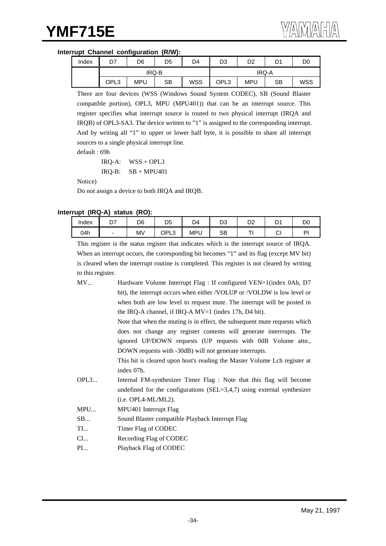#### **Interrupt Channel configuration (R/W):**

| Index | n7   | D6         | D5        | D4         | D3    | D2         | D1 | D0         |  |
|-------|------|------------|-----------|------------|-------|------------|----|------------|--|
|       |      |            | IRQ-B     |            | IRQ-A |            |    |            |  |
|       | OPL3 | <b>MPU</b> | <b>SB</b> | <b>WSS</b> | OPL3  | <b>MPU</b> | SB | <b>WSS</b> |  |

There are four devices (WSS (Windows Sound System CODEC), SB (Sound Blaster compatible portion), OPL3, MPU (MPU401)) that can be an interrupt source. This register specifies what interrupt source is routed to two physical interrupt (IRQA and IRQB) of OPL3-SA3. The device written to "1" is assigned to the corresponding interrupt. And by writing all "1" to upper or lower half byte, it is possible to share all interrupt sources to a single physical interrupt line.

default : 69h

IRQ-A: WSS + OPL3  $IRQ-B:$   $SB + MPU401$ 

Notice)

Do not assign a device to both IRQA and IRQB.

#### **Interrupt (IRQ-A) status (RO):**

| Index | r,<br>יש | D6        | D <sub>5</sub>    | D4        | D3 | no.<br>◡▵ | D١<br>$\overline{\phantom{a}}$ | D <sub>0</sub> |
|-------|----------|-----------|-------------------|-----------|----|-----------|--------------------------------|----------------|
| 04h   |          | <b>MV</b> | י וחר<br>◡┎<br>∟ບ | MP'<br>ັບ | SB |           | $\sim$<br>◡                    | ום             |

This register is the status register that indicates which is the interrupt source of IRQA. When an interrupt occurs, the corresponding bit becomes "1" and its flag (except MV bit) is cleared when the interrupt routine is completed. This register is not cleared by writing to this register.

| MV   | Hardware Volume Interrupt Flag : If configured VEN=1(index 0Ah, D7         |
|------|----------------------------------------------------------------------------|
|      | bit), the interrupt occurs when either /VOLUP or /VOLDW is low level or    |
|      | when both are low level to request mute. The interrupt will be posted in   |
|      | the IRQ-A channel, if IRQ-A $MV=1$ (index 17h, D4 bit).                    |
|      | Note that when the muting is in effect, the subsequent mute requests which |
|      | does not change any register contents will generate interrrupts. The       |
|      | ignored UP/DOWN requests (UP requests with 0dB Volume attn.,               |
|      | DOWN requests with -30dB) will not generate interrupts.                    |
|      | This bit is cleared upon host's reading the Master Volume Lch register at  |
|      | index 07h.                                                                 |
| OPL3 | Internal FM-synthesizer Timer Flag : Note that this flag will become       |
|      | undefined for the configurations (SEL=3,4,7) using external synthesizer    |
|      | $(i.e. OPL4-ML/ML2).$                                                      |
| MPU  | MPU401 Interrupt Flag                                                      |
| SB   | Sound Blaster compatible Playback Interrupt Flag                           |
| TI   | Timer Flag of CODEC                                                        |
| $CL$ | Recording Flag of CODEC                                                    |
| PI   | Playback Flag of CODEC                                                     |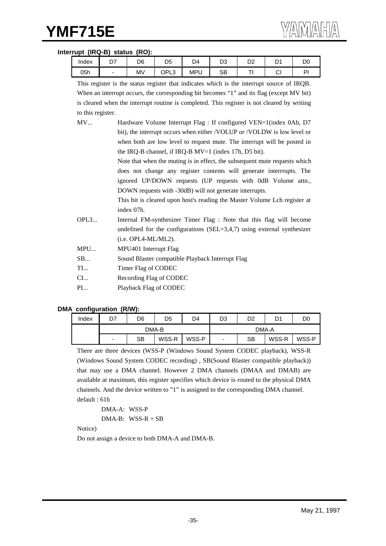#### **Interrupt (IRQ-B) status (RO):**

| Index | $\sim$<br><b>_,</b> | D6        | D <sub>5</sub>   | D4         | n o<br>טש | no.<br>◡▵ | r.<br>ັ     | D.<br>◡ |
|-------|---------------------|-----------|------------------|------------|-----------|-----------|-------------|---------|
| 05h   |                     | <b>MV</b> | י ום∩<br>∟ບ<br>ັ | <b>MPU</b> | SB        |           | $\sim$<br>◡ | D       |

|                   | This register is the status register that indicates which is the interrupt source of IRQB.  |
|-------------------|---------------------------------------------------------------------------------------------|
|                   | When an interrupt occurs, the corresponding bit becomes "1" and its flag (except MV bit)    |
|                   | is cleared when the interrupt routine is completed. This register is not cleared by writing |
| to this register. |                                                                                             |
| MV                | Hardware Volume Interrupt Flag : If configured VEN=1(index 0Ah, D7                          |
|                   | bit), the interrupt occurs when either /VOLUP or /VOLDW is low level or                     |
|                   | when both are low level to request mute. The interrupt will be posted in                    |
|                   | the IRQ-B channel, if IRQ-B MV=1 (index 17h, D5 bit).                                       |
|                   | Note that when the muting is in effect, the subsequent mute requests which                  |
|                   | does not change any register contents will generate interrrupts. The                        |
|                   | ignored UP/DOWN requests (UP requests with 0dB Volume attn.,                                |
|                   | DOWN requests with -30dB) will not generate interrupts.                                     |
|                   | This bit is cleared upon host's reading the Master Volume Lch register at                   |
|                   | index 07h.                                                                                  |
| OPL3              | Internal FM-synthesizer Timer Flag : Note that this flag will become                        |
|                   | undefined for the configurations (SEL=3,4,7) using external synthesizer                     |
|                   | $(i.e. OPL4-ML/ML2).$                                                                       |
| MPU               | MPU401 Interrupt Flag                                                                       |
| SB                | Sound Blaster compatible Playback Interrupt Flag                                            |
| TI                | Timer Flag of CODEC                                                                         |
| $CL$              | Recording Flag of CODEC                                                                     |
| $\rm{PI}$         | Playback Flag of CODEC                                                                      |

#### **DMA configuration (R/W):**

| Index | D7 | D6 | D5    | D4    | D3                       | D2 | D1    | DO    |  |
|-------|----|----|-------|-------|--------------------------|----|-------|-------|--|
|       |    |    | DMA-B |       | DMA-A                    |    |       |       |  |
|       | ۰  | SB | WSS-R | WSS-P | $\overline{\phantom{0}}$ | SB | WSS-R | WSS-P |  |

There are three devices (WSS-P (Windows Sound System CODEC playback), WSS-R (Windows Sound System CODEC recording) , SB(Sound Blaster compatible playback)) that may use a DMA channel. However 2 DMA channels (DMAA and DMAB) are available at maximum, this register specifies which device is routed to the physical DMA channels. And the device written to "1" is assigned to the corresponding DMA channel. default : 61h

```
DMA-A: WSS-P
DMA-B: WSS-R + SB
```
Notice)

Do not assign a device to both DMA-A and DMA-B.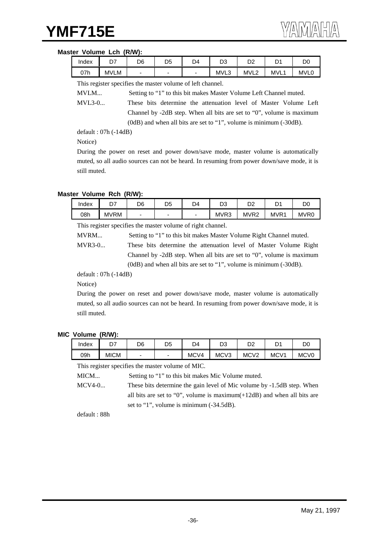#### **Master Volume Lch (R/W):**

| Index | D7          | D6 | D <sub>5</sub> | D4 | n^<br>υs | D <sub>2</sub>   | n,<br>້    | DО          |
|-------|-------------|----|----------------|----|----------|------------------|------------|-------------|
| 07h   | <b>MVLM</b> | -  | -              | -  | MVL3     | MVL <sub>2</sub> | <b>MVL</b> | <b>MVL0</b> |

This register specifies the master volume of left channel.

MVLM... Setting to "1" to this bit makes Master Volume Left Channel muted.

MVL3-0... These bits determine the attenuation level of Master Volume Left Channel by -2dB step. When all bits are set to "0", volume is maximum (0dB) and when all bits are set to "1", volume is minimum (-30dB).

default : 07h (-14dB)

Notice)

During the power on reset and power down/save mode, master volume is automatically muted, so all audio sources can not be heard. In resuming from power down/save mode, it is still muted.

#### **Master Volume Rch (R/W):**

| Index | --<br>◡     | D6                       | DΕ<br>◡ | D4 | n۵<br>ບບ | מח<br>◡▵         | r.<br>ັ          | DC               |
|-------|-------------|--------------------------|---------|----|----------|------------------|------------------|------------------|
| 08h   | <b>MVRM</b> | $\overline{\phantom{0}}$ | -       | -  | MVR3     | MVR <sub>2</sub> | MVR <sup>1</sup> | MVR <sub>0</sub> |

This register specifies the master volume of right channel.

MVRM... Setting to "1" to this bit makes Master Volume Right Channel muted.

MVR3-0... These bits determine the attenuation level of Master Volume Right Channel by -2dB step. When all bits are set to "0", volume is maximum (0dB) and when all bits are set to "1", volume is minimum (-30dB).

default : 07h (-14dB)

Notice)

During the power on reset and power down/save mode, master volume is automatically muted, so all audio sources can not be heard. In resuming from power down/save mode, it is still muted.

#### **MIC Volume (R/W):**

| Index | n7<br>- 1   | D6 | D5 | D4   | מח<br>υ3         | nn<br>υz         | n,<br>◡          | DC               |
|-------|-------------|----|----|------|------------------|------------------|------------------|------------------|
| 09h   | <b>MICM</b> | -  | -  | MCV4 | MCV <sub>3</sub> | MCV <sub>2</sub> | MCV <sub>1</sub> | MCV <sub>0</sub> |

This register specifies the master volume of MIC.

MICM... Setting to "1" to this bit makes Mic Volume muted.

MCV4-0... These bits determine the gain level of Mic volume by -1.5dB step. When all bits are set to "0", volume is maximum(+12dB) and when all bits are set to "1", volume is minimum (-34.5dB).

default : 88h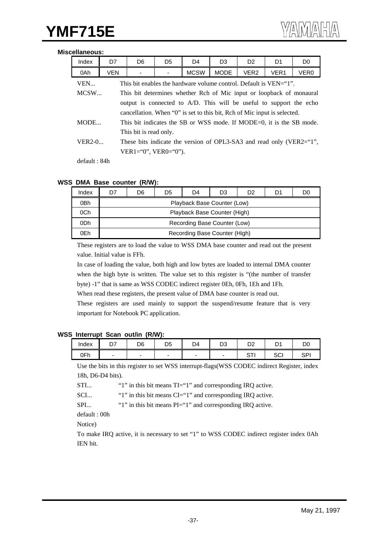#### **Miscellaneous:**

| Index                                                                        | D7                                                                               | D <sub>6</sub>                                                     | D <sub>5</sub> | D <sub>4</sub> | D <sub>3</sub>                                                       | D <sub>2</sub> | D <sub>1</sub> | D <sub>0</sub>   |  |  |  |  |
|------------------------------------------------------------------------------|----------------------------------------------------------------------------------|--------------------------------------------------------------------|----------------|----------------|----------------------------------------------------------------------|----------------|----------------|------------------|--|--|--|--|
| 0Ah                                                                          | <b>VEN</b>                                                                       | <b>MCSW</b><br><b>MODE</b><br>VER <sub>2</sub><br>VER <sub>1</sub> |                |                |                                                                      |                |                | VER <sub>0</sub> |  |  |  |  |
| VEN<br>This bit enables the hardware volume control. Default is VEN="1".     |                                                                                  |                                                                    |                |                |                                                                      |                |                |                  |  |  |  |  |
| MCSW<br>This bit determines whether Rch of Mic input or loopback of monaural |                                                                                  |                                                                    |                |                |                                                                      |                |                |                  |  |  |  |  |
| output is connected to A/D. This will be useful to support the echo          |                                                                                  |                                                                    |                |                |                                                                      |                |                |                  |  |  |  |  |
| cancellation. When "0" is set to this bit, Rch of Mic input is selected.     |                                                                                  |                                                                    |                |                |                                                                      |                |                |                  |  |  |  |  |
| MODE                                                                         |                                                                                  |                                                                    |                |                | This bit indicates the SB or WSS mode. If MODE=0, it is the SB mode. |                |                |                  |  |  |  |  |
|                                                                              |                                                                                  | This bit is read only.                                             |                |                |                                                                      |                |                |                  |  |  |  |  |
|                                                                              | $VER2-0$<br>These bits indicate the version of OPL3-SA3 and read only (VER2="1", |                                                                    |                |                |                                                                      |                |                |                  |  |  |  |  |
|                                                                              |                                                                                  | $VER1 = "0", VER0 = "0").$                                         |                |                |                                                                      |                |                |                  |  |  |  |  |
|                                                                              |                                                                                  |                                                                    |                |                |                                                                      |                |                |                  |  |  |  |  |

default : 84h

#### **WSS DMA Base counter (R/W):**

| Index | D7                           | D1                            | D0 |  |  |  |  |  |  |  |  |  |
|-------|------------------------------|-------------------------------|----|--|--|--|--|--|--|--|--|--|
| 0Bh   |                              | Playback Base Counter (Low)   |    |  |  |  |  |  |  |  |  |  |
| 0Ch   | Playback Base Counter (High) |                               |    |  |  |  |  |  |  |  |  |  |
| 0Dh   |                              | Recording Base Counter (Low)  |    |  |  |  |  |  |  |  |  |  |
| 0Eh   |                              | Recording Base Counter (High) |    |  |  |  |  |  |  |  |  |  |

These registers are to load the value to WSS DMA base counter and read out the present value. Initial value is FFh.

In case of loading the value, both high and low bytes are loaded to internal DMA counter when the high byte is written. The value set to this register is "(the number of transfer byte) -1" that is same as WSS CODEC indirect register 0Eh, 0Fh, 1Eh and 1Fh.

When read these registers, the present value of DMA base counter is read out.

These registers are used mainly to support the suspend/resume feature that is very important for Notebook PC application.

#### **WSS Interrupt Scan out/in (R/W):**

| Index | n7<br>- '                | D6 | D5 | D4 | מח<br>υs | n o<br>◡              | D١<br>້       | DО       |
|-------|--------------------------|----|----|----|----------|-----------------------|---------------|----------|
| 0Fh   | $\overline{\phantom{0}}$ | -  | -  |    | -        | $\sim$ $\pm$<br>ا ا ب | $\sim$<br>ಎರ್ | CD.<br>ᇬ |

Use the bits in this register to set WSS interrupt-flags(WSS CODEC indirect Register, index 18h, D6-D4 bits).

STI... "1" in this bit means TI="1" and corresponding IRQ active.

SCI... "1" in this bit means CI="1" and corresponding IRQ active.

SPI... "1" in this bit means PI="1" and corresponding IRQ active.

default : 00h

Notice)

To make IRQ active, it is necessary to set "1" to WSS CODEC indirect register index 0Ah IEN bit.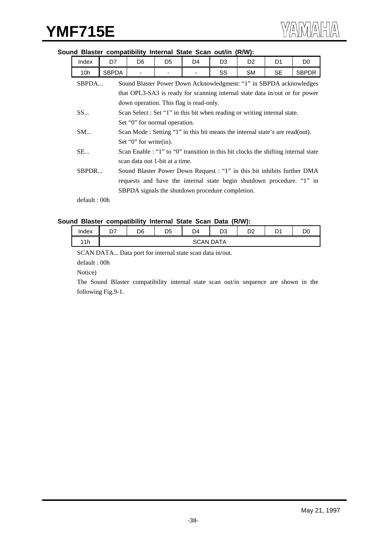#### **Sound Blaster compatibility Internal State Scan out/in (R/W):**

| Index | D7    | D <sub>6</sub>                                                                | D <sub>5</sub> | D <sub>4</sub> | D <sub>3</sub>                                                                     | D <sub>2</sub> | D <sub>1</sub> | D <sub>0</sub> |  |  |  |  |
|-------|-------|-------------------------------------------------------------------------------|----------------|----------------|------------------------------------------------------------------------------------|----------------|----------------|----------------|--|--|--|--|
| 10h   | SBPDA | <b>SM</b><br>SS                                                               |                |                |                                                                                    |                | SE.            | <b>SBPDR</b>   |  |  |  |  |
| SBPDA |       | Sound Blaster Power Down Acknowledgment: "1" in SBPDA acknowledges            |                |                |                                                                                    |                |                |                |  |  |  |  |
|       |       | that OPL3-SA3 is ready for scanning internal state data in/out or for power   |                |                |                                                                                    |                |                |                |  |  |  |  |
|       |       | down operation. This flag is read-only.                                       |                |                |                                                                                    |                |                |                |  |  |  |  |
| SS    |       | Scan Select : Set "1" in this bit when reading or writing internal state.     |                |                |                                                                                    |                |                |                |  |  |  |  |
|       |       | Set "0" for normal operation.                                                 |                |                |                                                                                    |                |                |                |  |  |  |  |
| SM    |       | Scan Mode : Setting "1" in this bit means the internal state's are read(out). |                |                |                                                                                    |                |                |                |  |  |  |  |
|       |       | Set "0" for write(in).                                                        |                |                |                                                                                    |                |                |                |  |  |  |  |
| SE    |       |                                                                               |                |                | Scan Enable : "1" to "0" transition in this bit clocks the shifting internal state |                |                |                |  |  |  |  |
|       |       | scan data out 1-bit at a time.                                                |                |                |                                                                                    |                |                |                |  |  |  |  |
| SBPDR |       |                                                                               |                |                | Sound Blaster Power Down Request : "1" in this bit inhibits further DMA            |                |                |                |  |  |  |  |
|       |       |                                                                               |                |                | requests and have the internal state begin shutdown procedure. "1" in              |                |                |                |  |  |  |  |
|       |       |                                                                               |                |                | SBPDA signals the shutdown procedure completion.                                   |                |                |                |  |  |  |  |

default : 00h

#### **Sound Blaster compatibility Internal State Scan Data (R/W):**

| Index | n,<br>יש | D6 | D <sub>5</sub> | D4 | D3               | D0<br>◡∠ | n.<br>້ | D0 |
|-------|----------|----|----------------|----|------------------|----------|---------|----|
| 11h   |          |    |                |    | <b>SCAN DATA</b> |          |         |    |

SCAN DATA... Data port for internal state scan data in/out.

default : 00h

Notice)

The Sound Blaster compatibility internal state scan out/in sequence are shown in the following Fig.9-1.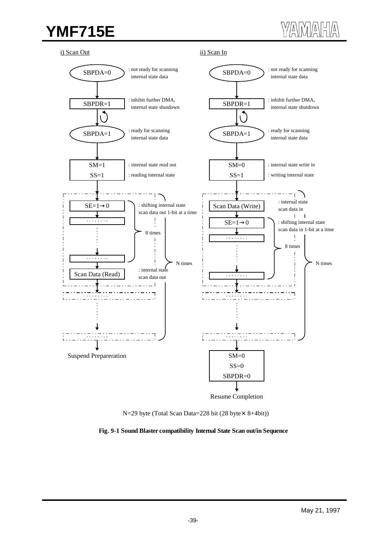## **YMF715E**

i) Scan Out







**Fig. 9-1 Sound Blaster compatibility Internal State Scan out/in Sequence**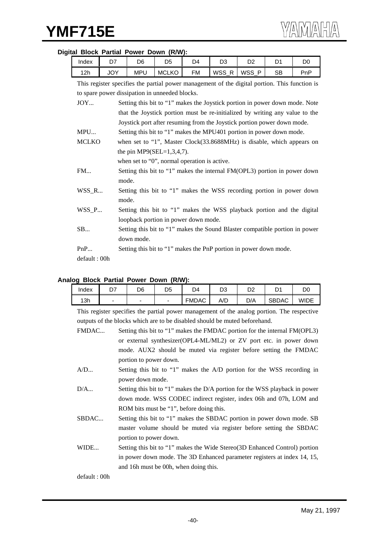## Index | D7 | D6 | D5 | D4 | D3 | D2 | D1 | D0 12h | JOY | MPU |MCLKO | FM |WSS\_R |WSS\_P | SB | PnP This register specifies the partial power management of the digital portion. This function is to spare power dissipation in unneeded blocks. JOY... Setting this bit to "1" makes the Joystick portion in power down mode. Note that the Joystick portion must be re-initialized by writing any value to the Joystick port after resuming from the Joystick portion power down mode. MPU... Setting this bit to "1" makes the MPU401 portion in power down mode. MCLKO when set to "1", Master Clock(33.8688MHz) is disable, which appears on the pin MP9(SEL= $1,3,4,7$ ). when set to "0", normal operation is active. FM... Setting this bit to "1" makes the internal FM(OPL3) portion in power down mode. WSS\_R... Setting this bit to "1" makes the WSS recording portion in power down mode. WSS\_P... Setting this bit to "1" makes the WSS playback portion and the digital loopback portion in power down mode. SB... Setting this bit to "1" makes the Sound Blaster compatible portion in power down mode. PnP... Setting this bit to "1" makes the PnP portion in power down mode. default : 00h

#### **Digital Block Partial Power Down (R/W):**

#### **Analog Block Partial Power Down (R/W):**

| Index | <b>.</b>       | D6                       | D5 | D4           | n۵<br>טש | D2  | r.<br>້ | DО   |
|-------|----------------|--------------------------|----|--------------|----------|-----|---------|------|
| 13h   | $\blacksquare$ | $\overline{\phantom{0}}$ |    | <b>FMDAC</b> | A/D      | D/A | SBDAC   | WIDE |

This register specifies the partial power management of the analog portion. The respective outputs of the blocks which are to be disabled should be muted beforehand.

| FMDAC        | Setting this bit to "1" makes the FMDAC portion for the internal FM(OPL3)   |
|--------------|-----------------------------------------------------------------------------|
|              | or external synthesizer (OPL4-ML/ML2) or ZV port etc. in power down         |
|              | mode. AUX2 should be muted via register before setting the FMDAC            |
|              | portion to power down.                                                      |
| A/D          | Setting this bit to "1" makes the A/D portion for the WSS recording in      |
|              | power down mode.                                                            |
| D/A          | Setting this bit to "1" makes the D/A portion for the WSS playback in power |
|              | down mode. WSS CODEC indirect register, index 06h and 07h, LOM and          |
|              | ROM bits must be "1", before doing this.                                    |
| SBDAC        | Setting this bit to "1" makes the SBDAC portion in power down mode. SB      |
|              | master volume should be muted via register before setting the SBDAC         |
|              | portion to power down.                                                      |
| WIDE         | Setting this bit to "1" makes the Wide Stereo (3D Enhanced Control) portion |
|              | in power down mode. The 3D Enhanced parameter registers at index 14, 15,    |
|              | and 16h must be 00h, when doing this.                                       |
| default: 00h |                                                                             |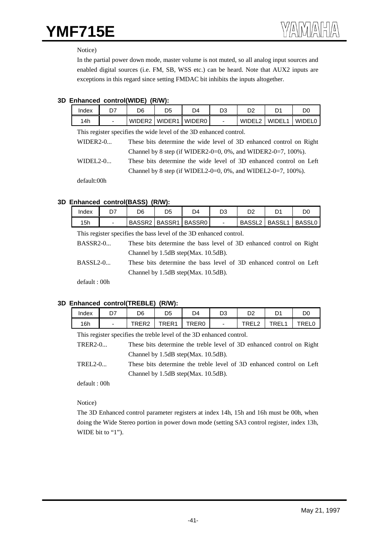## **YMF715E**

Notice)

In the partial power down mode, master volume is not muted, so all analog input sources and enabled digital sources (i.e. FM, SB, WSS etc.) can be heard. Note that AUX2 inputs are exceptions in this regard since setting FMDAC bit inhibits the inputs altogether.

### **3D Enhanced control(WIDE) (R/W):**

| Index                                                              |   | D6 | D5                   | D4 | D3                       |                    |         | DC            |  |
|--------------------------------------------------------------------|---|----|----------------------|----|--------------------------|--------------------|---------|---------------|--|
| 14h                                                                | - |    | WIDER2 WIDER1 WIDER0 |    | $\overline{\phantom{0}}$ | WIDEL <sub>2</sub> | WIDEL 1 | <b>WIDELO</b> |  |
| This register specifies the wide level of the 3D enhanced control. |   |    |                      |    |                          |                    |         |               |  |

WIDER2-0... These bits determine the wide level of 3D enhanced control on Right Channel by 8 step (if WIDER2-0=0, 0%, and WIDER2-0=7, 100%).

WIDEL2-0... These bits determine the wide level of 3D enhanced control on Left Channel by 8 step (if WIDEL2-0=0, 0%, and WIDEL2-0=7,  $100\%$ ).

default:00h

### **3D Enhanced control(BASS) (R/W):**

| Index | D6                 | D5     | D4     | n^ | ⊃∠                 |        | DО            |
|-------|--------------------|--------|--------|----|--------------------|--------|---------------|
| 15h   | BASSR <sub>2</sub> | BASSR1 | BASSR0 |    | BASSL <sub>2</sub> | BASSL1 | <b>BASSL0</b> |

This register specifies the bass level of the 3D enhanced control.

BASSR2-0... These bits determine the bass level of 3D enhanced control on Right Channel by 1.5dB step(Max. 10.5dB).

BASSL2-0... These bits determine the bass level of 3D enhanced control on Left Channel by 1.5dB step(Max. 10.5dB).

default : 00h

## **3D Enhanced control(TREBLE) (R/W):**

| Index | רח<br>וש                 | D6    | D5    | D4    | D3                       | D2                          | n٠<br>້     | DC          |
|-------|--------------------------|-------|-------|-------|--------------------------|-----------------------------|-------------|-------------|
| 16h   | $\overline{\phantom{0}}$ | TRER2 | TRER1 | TRER0 | $\overline{\phantom{a}}$ | ום ס־<br>$\sqrt{2}$<br>◝––– | TREL.<br>◝– | <b>FREI</b> |

This register specifies the treble level of the 3D enhanced control.

TRER2-0... These bits determine the treble level of 3D enhanced control on Right Channel by 1.5dB step(Max. 10.5dB).

TREL2-0... These bits determine the treble level of 3D enhanced control on Left Channel by 1.5dB step(Max. 10.5dB).

default : 00h

Notice)

The 3D Enhanced control parameter registers at index 14h, 15h and 16h must be 00h, when doing the Wide Stereo portion in power down mode (setting SA3 control register, index 13h, WIDE bit to "1").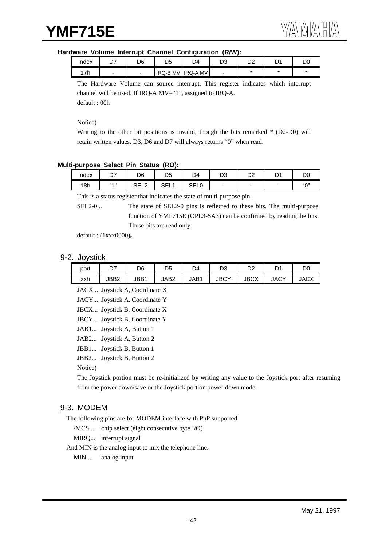#### **Hardware Volume Interrupt Channel Configuration (R/W):**

| Index | D6 | D5       | D4              | no.<br>◡ | no.<br>ັ | D. | D0 |
|-------|----|----------|-----------------|----------|----------|----|----|
| 17h   |    | IRQ-B MV | <b>IRQ-A MV</b> | -        |          |    |    |

The Hardware Volume can source interrupt. This register indicates which interrupt channel will be used. If IRQ-A MV="1", assigned to IRQ-A. default : 00h

Notice)

Writing to the other bit positions is invalid, though the bits remarked \* (D2-D0) will retain written values. D3, D6 and D7 will always returns "0" when read.

#### **Multi-purpose Select Pin Status (RO):**

| Index | ~-<br>יש | D6                   | D <sub>5</sub> | D4                       | no.<br>υა | n o<br>◡∠ | ņ٠<br>ັ | DO     |
|-------|----------|----------------------|----------------|--------------------------|-----------|-----------|---------|--------|
| 18h   | 33.433   | 0.512<br>- 1<br>◡∟∟∠ | ו⊐י<br>◡└└     | $\sim$ $-1$<br>.<br>◡∟∟◡ |           |           | -       | (0.03) |

This is a status register that indicates the state of multi-purpose pin.

SEL2-0... The state of SEL2-0 pins is reflected to these bits. The multi-purpose function of YMF715E (OPL3-SA3) can be confirmed by reading the bits. These bits are read only.

default :  $(1xxx0000)_b$ 

#### 9-2. Joystick

| port |      | D6   | D <sub>5</sub> | D4   | מח<br>υs    | D2          | D <sub>1</sub><br>້ | DO          |
|------|------|------|----------------|------|-------------|-------------|---------------------|-------------|
| xxh  | JBB2 | JBB1 | JAB2           | JAB1 | <b>JBCY</b> | <b>JBCX</b> | <b>JACY</b>         | <b>JACX</b> |

JACX... Joystick A, Coordinate X

JACY... Joystick A, Coordinate Y

JBCX... Joystick B, Coordinate X

JBCY... Joystick B, Coordinate Y

JAB1... Joystick A, Button 1

JAB2... Joystick A, Button 2

JBB1... Joystick B, Button 1

JBB2... Joystick B, Button 2

Notice)

The Joystick portion must be re-initialized by writing any value to the Joystick port after resuming from the power down/save or the Joystick portion power down mode.

## 9-3. MODEM

The following pins are for MODEM interface with PnP supported.

/MCS... chip select (eight consecutive byte I/O)

MIRQ... interrupt signal

And MIN is the analog input to mix the telephone line.

MIN... analog input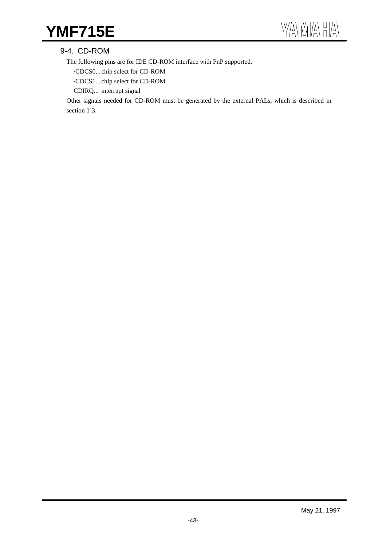## YMF715E

## 9-4. CD-ROM

The following pins are for IDE CD-ROM interface with PnP supported.

/CDCS0... chip select for CD-ROM

/CDCS1... chip select for CD-ROM

CDIRQ... interrupt signal

Other signals needed for CD-ROM must be generated by the external PALs, which is described in section 1-3.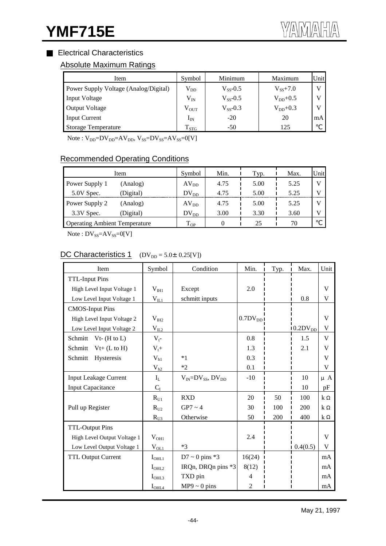## Electrical Characteristics

## Absolute Maximum Ratings

| Item                                  | Symbol        | Minimum       | Maximum      | Unit |
|---------------------------------------|---------------|---------------|--------------|------|
| Power Supply Voltage (Analog/Digital) | $\rm V_{DD}$  | $V_{ss}$ -0.5 | $V_{SS}+7.0$ | V    |
| <b>Input Voltage</b>                  | $\rm V_{IN}$  | $V_{SS}$ -0.5 | $V_{DD}+0.5$ | V    |
| <b>Output Voltage</b>                 | $\rm V_{OUT}$ | $V_{SS}$ -0.3 | $V_{DD}+0.3$ | V    |
| <b>Input Current</b>                  | $\rm I_{IN}$  | $-20$         | 20           | mA   |
| <b>Storage Temperature</b>            | $T_{STG}$     | $-50$         | 125          |      |

 $Note: V_{DD} = DV_{DD} = AV_{DD}$ ,  $V_{SS} = DV_{SS} = AV_{SS} = 0[V]$ 

## Recommended Operating Conditions

| Item                                 | Symbol    | Min. | Typ. | Max. | Unit |
|--------------------------------------|-----------|------|------|------|------|
| Power Supply 1<br>(Analog)           | $AV_{DD}$ | 4.75 | 5.00 | 5.25 |      |
| 5.0V Spec.<br>(Digital)              | $DV_{DD}$ | 4.75 | 5.00 | 5.25 |      |
| Power Supply 2<br>(Analog)           | $AV_{DD}$ | 4.75 | 5.00 | 5.25 |      |
| 3.3V Spec.<br>(Digital)              | $DV_{DD}$ | 3.00 | 3.30 | 3.60 |      |
| <b>Operating Ambient Temperature</b> | $T_{OP}$  |      | 25   | 70   |      |

 $Note: DV_{SS} = AV_{SS} = 0[V]$ 

## DC Characteristics 1  $(DV_{DD} = 5.0 \pm 0.25[V])$

| Item                         | Symbol            | Condition                      | Min.         | Typ. | Max.          | Unit    |
|------------------------------|-------------------|--------------------------------|--------------|------|---------------|---------|
| <b>TTL-Input Pins</b>        |                   |                                |              |      |               |         |
| High Level Input Voltage 1   | $V_{\text{III}}$  | Except                         | 2.0          |      |               | V       |
| Low Level Input Voltage 1    | $V_{IL1}$         | schmitt inputs                 |              |      | 0.8           | V       |
| <b>CMOS-Input Pins</b>       |                   |                                |              |      |               |         |
| High Level Input Voltage 2   | $V_{I H2}$        |                                | $0.7DV_{DD}$ |      |               | V       |
| Low Level Input Voltage 2    | $V_{IL2}$         |                                |              |      | $10.2DV_{DD}$ | V       |
| Schmitt<br>$Vt-$ (H to L)    | $V_{t}$ -         |                                | 0.8          |      | 1.5           | V       |
| Schmitt<br>$Vt+ (L to H)$    | $V_t +$           |                                | 1.3          |      | 2.1           | V       |
| Schmitt<br>Hysteresis        | $V_{h1}$          | $*1$                           | 0.3          |      |               | V       |
|                              | $V_{h2}$          | $*2$                           | 0.1          |      |               | V       |
| <b>Input Leakage Current</b> | $I_L$             | $V_{IN} = DV_{SS}$ , $DV_{DD}$ | $-10$        |      | 10            | $\mu$ A |
| <b>Input Capacitance</b>     | $C_I$             |                                |              |      | 10            | pF      |
|                              | $R_{U1}$          | <b>RXD</b>                     | 20           | 50   | 100           | k       |
| Pull up Register             | $R_{U2}$          | $GP7 \sim 4$                   | 30           | 100  | 200           | k       |
|                              | $R_{U3}$          | Otherwise                      | 50           | 200  | 400           | k       |
| <b>TTL-Output Pins</b>       |                   |                                |              |      |               |         |
| High Level Output Voltage 1  | $V_{OH1}$         |                                | 2.4          |      |               | V       |
| Low Level Output Voltage 1   | $V_{OL1}$         | $*3$                           |              |      | 0.4(0.5)      | V       |
| <b>TTL Output Current</b>    | $I_{\text{OHL1}}$ | $D7 \sim 0$ pins *3            | 16(24)       |      |               | mA      |
|                              | $I_{\text{OHL2}}$ | IRQn, DRQn pins *3             | 8(12)        |      |               | mA      |
|                              | $I_{\text{OHL3}}$ | TXD pin                        | 4            |      |               | mA      |
|                              | $I_{\text{OHL4}}$ | $MP9 \sim 0$ pins              | 2            |      |               | mA      |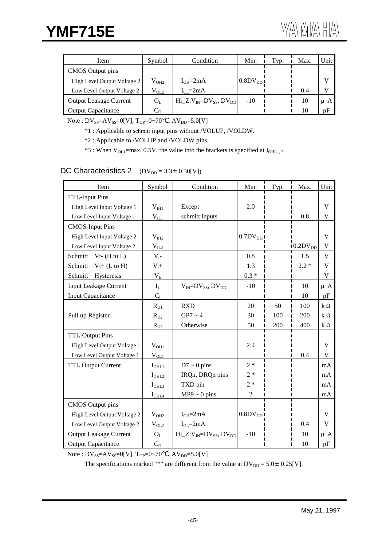| Item                          | Symbol        | Condition                                                                              | Min.                   | Typ. | Max. | Unit    |
|-------------------------------|---------------|----------------------------------------------------------------------------------------|------------------------|------|------|---------|
| CMOS Output pins              |               |                                                                                        |                        |      |      |         |
| High Level Output Voltage 2   | $\rm V_{OH2}$ | $I_{OH} = 2mA$                                                                         | $0.8$ DV <sub>DD</sub> |      |      | V       |
| Low Level Output Voltage 2    | $\rm V_{OL2}$ | $I_{\Omega} = 2mA$                                                                     |                        |      | 0.4  |         |
| <b>Output Leakage Current</b> | $O_L$         | $\text{Hi\_Z:} \text{V}_{\text{IN}} = \text{DV}_{\text{SS}}$ , $\text{DV}_{\text{DD}}$ | $-10$                  |      | 10   | $\mu$ A |
| <b>Output Capacitance</b>     | $C_{\Omega}$  |                                                                                        |                        |      | 10   | pF      |

Note :  $DV_{SS} = AV_{SS} = 0[V]$ ,  $T_{OP} = 0 \sim 70$ ,  $AV_{DD} = 5.0[V]$ 

\*1 : Applicable to schmitt input pins without /VOLUP, /VOLDW.

\*2 : Applicable to /VOLUP and /VOLDW pins.

 $*3$ : When V<sub>OL1</sub>=max. 0.5V, the value into the brackets is specified at I<sub>OHL1, 2</sub>.

### DC Characteristics 2  $(DV_{DD} = 3.3 \pm 0.30[V])$

| Item                          | Symbol            | Condition                         | Min.             | Typ. | Max.                        | Unit    |
|-------------------------------|-------------------|-----------------------------------|------------------|------|-----------------------------|---------|
| <b>TTL-Input Pins</b>         |                   |                                   |                  |      |                             |         |
| High Level Input Voltage 1    | $V_{\text{III}}$  | Except                            | 2.0              |      |                             | V       |
| Low Level Input Voltage 1     | $V_{IL1}$         | schmitt inputs                    |                  |      | 0.8                         | V       |
| <b>CMOS-Input Pins</b>        |                   |                                   |                  |      |                             |         |
| High Level Input Voltage 2    | $V_{I H2}$        |                                   | $0.7$ D $V_{DD}$ |      |                             | V       |
| Low Level Input Voltage 2     | $V_{IL2}$         |                                   |                  |      | $10.2\text{DV}_{\text{DD}}$ | V       |
| Schmitt<br>$Vt-$ (H to L)     | $V_t$ -           |                                   | 0.8              |      | 1.5                         | V       |
| Schmitt<br>$Vt+ (L to H)$     | $V_t +$           |                                   | 1.3              |      | $2.2 *$                     | V       |
| Schmitt<br>Hysteresis         | V <sub>h</sub>    |                                   | $0.3 *$          |      |                             | V       |
| <b>Input Leakage Current</b>  | $I_L$             | $V_{IN} = DV_{SS}$ , $DV_{DD}$    | $-10$            |      | 10                          | $\mu$ A |
| <b>Input Capacitance</b>      | $C_I$             |                                   |                  |      | 10                          | pF      |
|                               | $R_{U1}$          | <b>RXD</b>                        | 20               | 50   | 100                         | k       |
| Pull up Register              | $R_{U2}$          | $GP7 \sim 4$                      | 30               | 100  | 200                         | $\bf k$ |
|                               | $R_{U3}$          | Otherwise                         | 50               | 200  | 400                         | k       |
| <b>TTL-Output Pins</b>        |                   |                                   |                  |      |                             |         |
| High Level Output Voltage 1   | $V_{OH1}$         |                                   | 2.4              |      |                             | V       |
| Low Level Output Voltage 1    | $V_{OL1}$         |                                   |                  |      | 0.4                         | V       |
| <b>TTL Output Current</b>     | $I_{\text{OHL1}}$ | $D7 \sim 0$ pins                  | $2*$             |      |                             | mA      |
|                               | $I_{\text{OHL2}}$ | IRQn, DRQn pins                   | $2*$             |      |                             | mA      |
|                               | I <sub>OHL3</sub> | TXD pin                           | $2 *$            |      |                             | mA      |
|                               | $I_{\text{OHL4}}$ | $MP9 \sim 0$ pins                 | $\overline{2}$   |      |                             | mA      |
| <b>CMOS</b> Output pins       |                   |                                   |                  |      |                             |         |
| High Level Output Voltage 2   | $V_{OH2}$         | $I_{OH} = 2mA$                    | $0.8$ D $V_{DD}$ |      |                             | V       |
| Low Level Output Voltage 2    | $V_{0L2}$         | $I_{OL} = 2mA$                    |                  |      | 0.4                         | V       |
| <b>Output Leakage Current</b> | $O_L$             | $Hi_Z: V_{IN} = DV_{SS}, DV_{DD}$ | $-10$            |      | 10                          | μA      |
| <b>Output Capacitance</b>     | C <sub>O</sub>    |                                   |                  |      | 10                          | pF      |

Note :  $DV_{SS} = AV_{SS} = 0[V]$ ,  $T_{OP} = 0 \sim 70$ ,  $AV_{DD} = 5.0[V]$ 

The specifications marked "\*" are different from the value at  $DV_{DD} = 5.0 \pm 0.25[V]$ .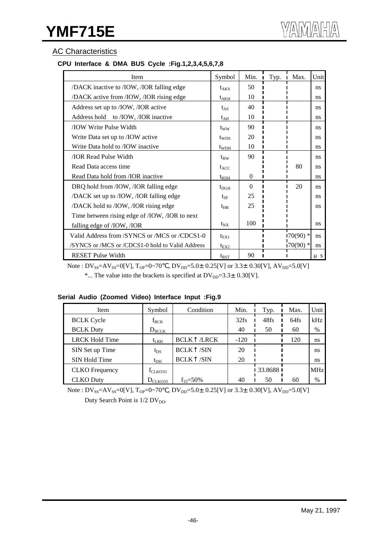## AC Characteristics

## **CPU Interface & DMA BUS Cycle :Fig.1,2,3,4,5,6,7,8**

| Item                                             | Symbol           | Min.     | Typ. | Max.        | Unit    |
|--------------------------------------------------|------------------|----------|------|-------------|---------|
| /DACK inactive to /IOW, /IOR falling edge        | $t_{AKS}$        | 50       |      |             | ns      |
| /DACK active from /IOW, /IOR rising edge         | $t_{AKH}$        | 10       |      |             | ns      |
| Address set up to /IOW, /IOR active              | $t_{AS}$         | 40       |      |             | ns      |
| Address hold to /IOW, /IOR inactive              | $t_{AH}$         | 10       |      |             | ns      |
| <b>TOW Write Pulse Width</b>                     | tww              | 90       |      |             | ns      |
| Write Data set up to /IOW active                 | t <sub>wps</sub> | 20       |      |             | ns      |
| Write Data hold to /IOW inactive                 | $t_{WDH}$        | 10       |      |             | ns      |
| <b><i>IOR Read Pulse Width</i></b>               | $t_{RW}$         | 90       |      |             | ns      |
| Read Data access time                            | $t_{ACC}$        |          |      | 80          | ns      |
| Read Data hold from /IOR inactive                | $t_{RDH}$        | $\Omega$ |      |             | ns      |
| DRQ hold from /IOW, /IOR falling edge            | $t_{\rm DGH}$    | $\Omega$ |      | 20          | ns      |
| /DACK set up to /IOW, /IOR falling edge          | $t_{\rm SF}$     | 25       |      |             | ns      |
| /DACK hold to /IOW, /IOR rising edge             | $t_{HR}$         | 25       |      |             | ns      |
| Time between rising edge of /IOW, /IOR to next   |                  |          |      |             |         |
| falling edge of /IOW, /IOR                       | $t_{NX}$         | 100      |      |             | ns      |
| Valid Address from /SYNCS or /MCS or /CDCS1-0    | $t_{\text{EX1}}$ |          |      | $170(90)$ * | ns      |
| /SYNCS or /MCS or /CDCS1-0 hold to Valid Address | $t_{EX2}$        |          |      | $170(90)$ * | ns      |
| <b>RESET Pulse Width</b>                         | $t_{RST}$        | 90       |      |             | $\mu$ s |

Note :  $DV_{SS} = AV_{SS} = 0[V]$ ,  $T_{OP} = 0 \sim 70$ ,  $DV_{DD} = 5.0 \pm 0.25[V]$  or  $3.3 \pm 0.30[V]$ ,  $AV_{DD} = 5.0[V]$ \*... The value into the brackets is specified at  $DV_{DD}=3.3\pm0.30[V]$ .

|  |  | Serial Audio (Zoomed Video) Interface Input :Fig.9 |  |
|--|--|----------------------------------------------------|--|
|  |  |                                                    |  |

| Item                  | Symbol            | Condition            | Min.   | Typ.        | Max.    | Unit       |
|-----------------------|-------------------|----------------------|--------|-------------|---------|------------|
| <b>BCLK</b> Cycle     | $f_{BCK}$         |                      | 32fs   | 48fs        | $64$ fs | kHz        |
| <b>BCLK Duty</b>      | $D_{\text{BCLK}}$ |                      | 40     | 50          | 60      | $\%$       |
| <b>LRCK Hold Time</b> | $t_{LRH}$         | /LRCK<br><b>BCLK</b> | $-120$ |             | 120     | ns         |
| SIN Set up Time       | $t_{DS}$          | /SIN<br><b>BCLK</b>  | 20     |             |         | ns         |
| SIN Hold Time         | $t_{\rm DH}$      | /SIN<br><b>BCLK</b>  | 20     |             |         | ns         |
| <b>CLKO</b> Frequency | $f_{CLKO33}$      |                      |        | 1 33.8688 1 |         | <b>MHz</b> |
| <b>CLKO</b> Duty      | $D_{CLKO33}$      | $f_{33} = 50\%$      | 40     | 50          | 60      | $\%$       |

Note :  $DV_{SS} = AV_{SS} = 0[V]$ ,  $T_{OP} = 0 \sim 70$ ,  $DV_{DD} = 5.0 \pm 0.25[V]$  or  $3.3 \pm 0.30[V]$ ,  $AV_{DD} = 5.0[V]$ Duty Search Point is 1/2 DV<sub>DD</sub>.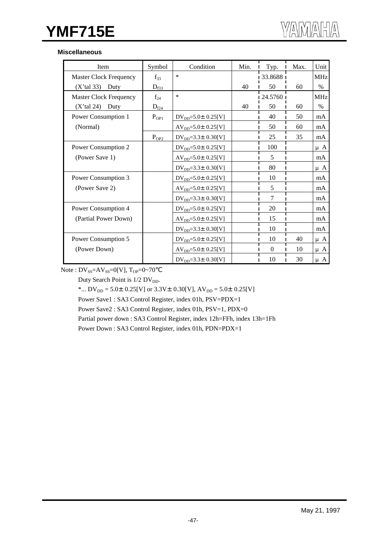## **YMF715E**

#### **Miscellaneous**

| Item                          | Symbol                | Condition                   | Min. | Typ.     | Max. | Unit       |
|-------------------------------|-----------------------|-----------------------------|------|----------|------|------------|
| <b>Master Clock Frequency</b> | $f_{33}$              | $\ast$                      |      | 33.8688  |      | <b>MHz</b> |
| $(X'$ tal 33)<br>Duty         | $D_{\underline{f33}}$ |                             | 40   | 50       | 60   | $\%$       |
| <b>Master Clock Frequency</b> | $f_{24}$              | $\ast$                      |      | 24.5760  |      | <b>MHz</b> |
| $(X'$ tal 24)<br>Duty         | $D_{\underline{f24}}$ |                             | 40   | 50       | 60   | $\%$       |
| Power Consumption 1           | $P_{OP1}$             | $DV_{DD} = 5.0 \pm 0.25[V]$ |      | 40       | 50   | mA         |
| (Normal)                      |                       | $AV_{DD} = 5.0 \pm 0.25[V]$ |      | 50       | 60   | mA         |
|                               | $P_{OP2}$             | $DV_{DD} = 3.3 \pm 0.30[V]$ |      | 25       | 35   | mA         |
| Power Consumption 2           |                       | $DV_{DD} = 5.0 \pm 0.25[V]$ |      | 100      |      | $\mu$ A    |
| (Power Save 1)                |                       | $AV_{DD} = 5.0 \pm 0.25[V]$ |      | 5        |      | mA         |
|                               |                       | $DV_{DD} = 3.3 \pm 0.30[V]$ |      | 80       |      | $\mu$ A    |
| Power Consumption 3           |                       | $DV_{DD} = 5.0 \pm 0.25[V]$ |      | 10       |      | mA         |
| (Power Save 2)                |                       | $AV_{DD} = 5.0 \pm 0.25[V]$ |      | 5        |      | mA         |
|                               |                       | $DV_{DD} = 3.3 \pm 0.30[V]$ |      | 7        |      | mA         |
| Power Consumption 4           |                       | $DV_{DD} = 5.0 \pm 0.25[V]$ |      | 20       |      | mA         |
| (Partial Power Down)          |                       | $AV_{DD} = 5.0 \pm 0.25[V]$ |      | 15       |      | mA         |
|                               |                       | $DV_{DD} = 3.3 \pm 0.30[V]$ |      | 10       |      | mA         |
| Power Consumption 5           |                       | $DV_{DD} = 5.0 \pm 0.25[V]$ |      | 10       | 40   | $\mu$ A    |
| (Power Down)                  |                       | $AV_{DD} = 5.0 \pm 0.25[V]$ |      | $\Omega$ | 10   | $\mu$ A    |
|                               |                       | $DV_{DD} = 3.3 \pm 0.30[V]$ |      | 10       | 30   | $\mu$ A    |

Note :  $DV_{SS} = AV_{SS} = 0[V]$ ,  $T_{OP} = 0 \sim 70$ 

Duty Search Point is  $1/2$  DV<sub>DD</sub>.

\*...  $DV_{DD} = 5.0 \pm 0.25[V]$  or  $3.3V \pm 0.30[V]$ ,  $AV_{DD} = 5.0 \pm 0.25[V]$ 

Power Save1 : SA3 Control Register, index 01h, PSV=PDX=1

Power Save2 : SA3 Control Register, index 01h, PSV=1, PDX=0

Partial power down : SA3 Control Register, index 12h=FFh, index 13h=1Fh

Power Down : SA3 Control Register, index 01h, PDN=PDX=1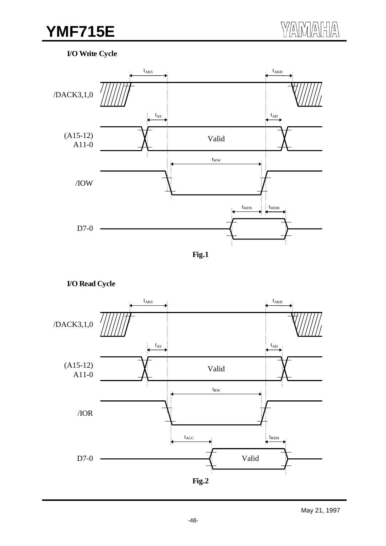## **YMF715E** WAMAHA

## **I/O Write Cycle**



**I/O Read Cycle**

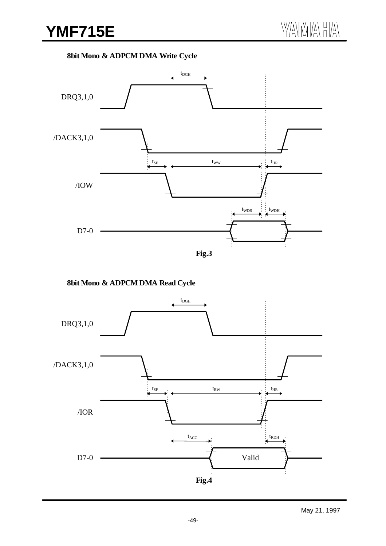## **8bit Mono & ADPCM DMA Write Cycle**



**8bit Mono & ADPCM DMA Read Cycle**

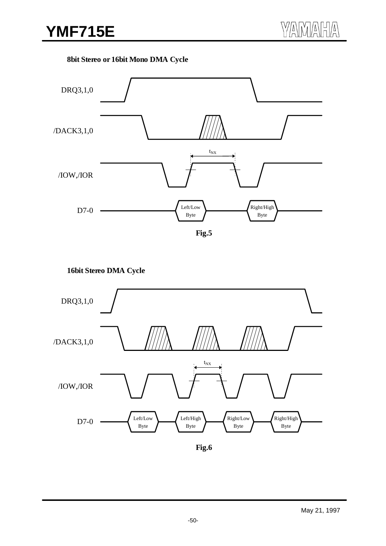## **8bit Stereo or 16bit Mono DMA Cycle**



**16bit Stereo DMA Cycle**

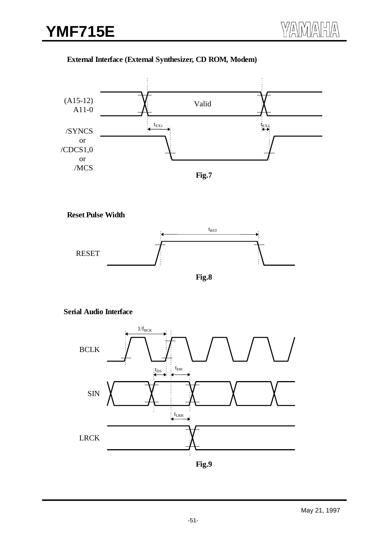## **External Interface (External Synthesizer, CD ROM, Modem)**



**Reset Pulse Width**



## **Serial Audio Interface**

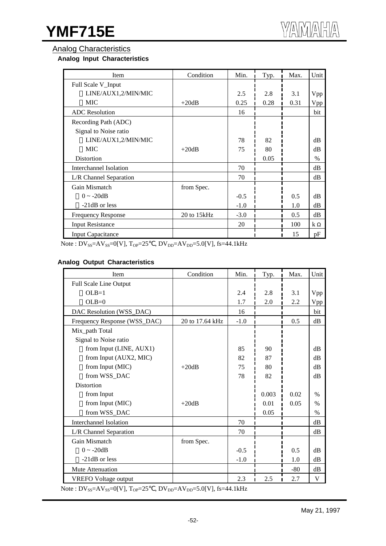#### Analog Characteristics

#### **Analog Input Characteristics**

| Item                      | Condition   | Min.   | Typ. | Max. | Unit     |
|---------------------------|-------------|--------|------|------|----------|
| Full Scale V_Input        |             |        |      |      |          |
| LINE/AUX1,2/MIN/MIC       |             | 2.5    | 2.8  | 3.1  | Vpp      |
| <b>MIC</b>                | $+20dB$     | 0.25   | 0.28 | 0.31 | Vpp      |
| <b>ADC</b> Resolution     |             | 16     |      |      | bit      |
| Recording Path (ADC)      |             |        |      |      |          |
| Signal to Noise ratio     |             |        |      |      |          |
| LINE/AUX1,2/MIN/MIC       |             | 78     | 82   |      | $\rm dB$ |
| <b>MIC</b>                | $+20dB$     | 75     | 80   |      | $\rm dB$ |
| Distortion                |             |        | 0.05 |      | $\%$     |
| Interchannel Isolation    |             | 70     |      |      | dB       |
| L/R Channel Separation    |             | 70     |      |      | dB       |
| Gain Mismatch             | from Spec.  |        |      |      |          |
| $0 \sim -20dB$            |             | $-0.5$ |      | 0.5  | $\rm dB$ |
| $-21dB$ or less           |             | $-1.0$ |      | 1.0  | dB       |
| <b>Frequency Response</b> | 20 to 15kHz | $-3.0$ |      | 0.5  | dB       |
| <b>Input Resistance</b>   |             | 20     |      | 100  | k        |
| <b>Input Capacitance</b>  |             |        |      | 15   | pF       |

Note :  $DV_{SS} = AV_{SS} = 0[V]$ ,  $T_{OP} = 25$ ,  $DV_{DD} = AV_{DD} = 5.0[V]$ ,  $fs = 44.1kHz$ 

#### **Analog Output Characteristics**

| Item                         | Condition       | Min.   | Typ.  | Max.  | Unit       |
|------------------------------|-----------------|--------|-------|-------|------------|
| Full Scale Line Output       |                 |        |       |       |            |
| $OLB=1$                      |                 | 2.4    | 2.8   | 3.1   | Vpp        |
| $OLB=0$                      |                 | 1.7    | 2.0   | 2.2   | <b>Vpp</b> |
| DAC Resolution (WSS_DAC)     |                 | 16     |       |       | bit        |
| Frequency Response (WSS_DAC) | 20 to 17.64 kHz | $-1.0$ |       | 0.5   | $\rm dB$   |
| Mix_path Total               |                 |        |       |       |            |
| Signal to Noise ratio        |                 |        |       |       |            |
| from Input (LINE, AUX1)      |                 | 85     | 90    |       | dB         |
| from Input (AUX2, MIC)       |                 | 82     | 87    |       | dB         |
| from Input (MIC)             | $+20dB$         | 75     | 80    |       | dB         |
| from WSS_DAC                 |                 | 78     | 82    |       | dB         |
| <b>Distortion</b>            |                 |        |       |       |            |
| from Input                   |                 |        | 0.003 | 0.02  | $\%$       |
| from Input (MIC)             | $+20dB$         |        | 0.01  | 0.05  | $\%$       |
| from WSS_DAC                 |                 |        | 0.05  |       | $\%$       |
| Interchannel Isolation       |                 | 70     |       |       | dB         |
| L/R Channel Separation       |                 | 70     |       |       | $\rm dB$   |
| Gain Mismatch                | from Spec.      |        |       |       |            |
| $0 \sim -20dB$               |                 | $-0.5$ |       | 0.5   | $\rm dB$   |
| $-21dB$ or less              |                 | $-1.0$ |       | 1.0   | dB         |
| Mute Attenuation             |                 |        |       | $-80$ | dB         |
| <b>VREFO</b> Voltage output  |                 | 2.3    | 2.5   | 2.7   | V          |

Note :  $DV_{SS} = AV_{SS} = 0[V]$ ,  $T_{OP} = 25$ ,  $DV_{DD} = AV_{DD} = 5.0[V]$ ,  $fs = 44.1kHz$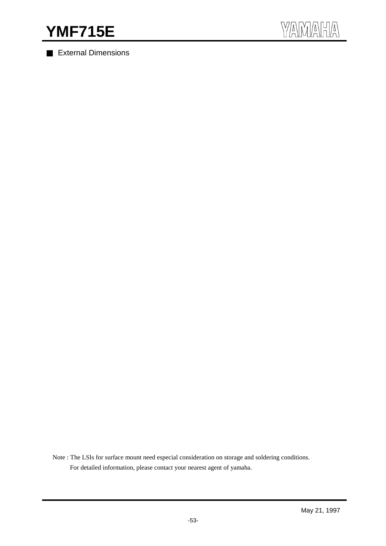External Dimensions



Note : The LSIs for surface mount need especial consideration on storage and soldering conditions. For detailed information, please contact your nearest agent of yamaha.